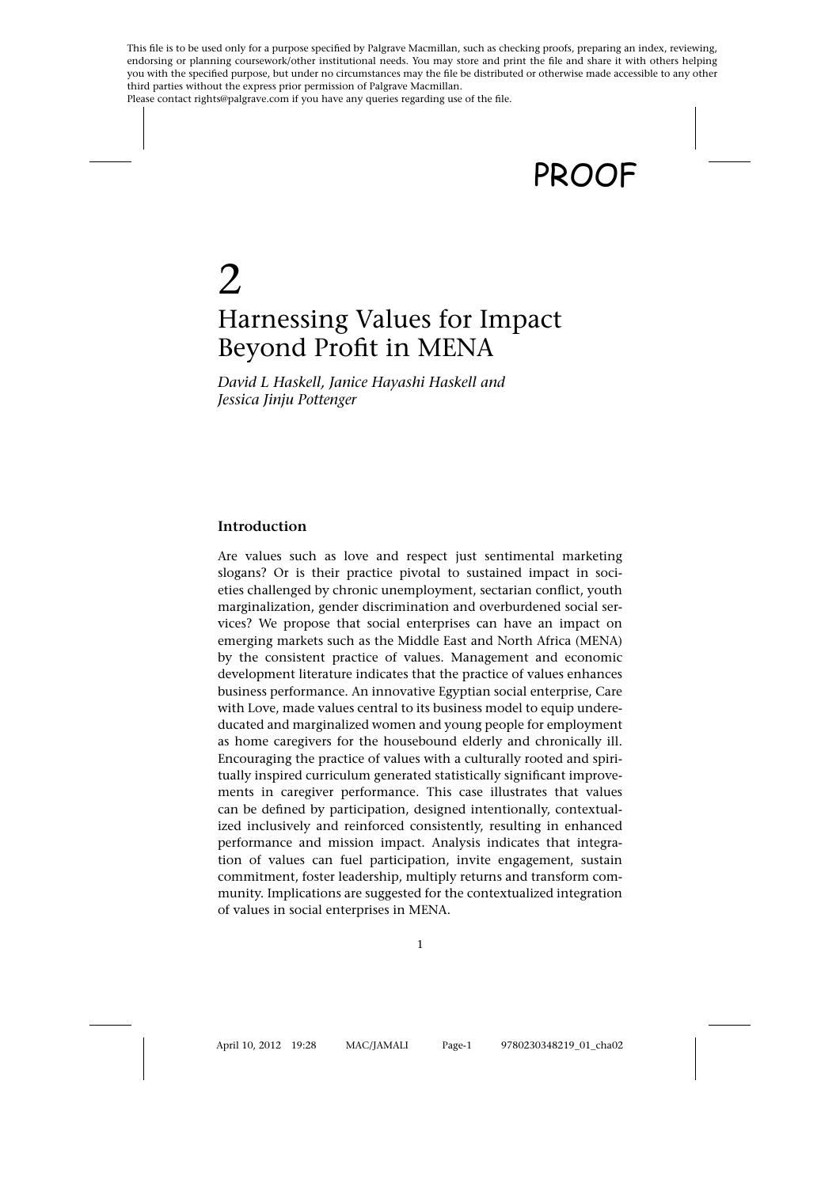This file is to be used only for a purpose specified by Palgrave Macmillan, such as checking proofs, preparing an index, reviewing, endorsing or planning coursework/other institutional needs. You may store and print the file and share it with others helping you with the specified purpose, but under no circumstances may the file be distributed or otherwise made accessible to any other third parties without the express prior permission of Palgrave Macmillan.

Please contact rights@palgrave.com if you have any queries regarding use of the file.

# PROOF

# 2 Harnessing Values for Impact Beyond Profit in MENA

*David L Haskell, Janice Hayashi Haskell and Jessica Jinju Pottenger*

### **Introduction**

Are values such as love and respect just sentimental marketing slogans? Or is their practice pivotal to sustained impact in societies challenged by chronic unemployment, sectarian conflict, youth marginalization, gender discrimination and overburdened social services? We propose that social enterprises can have an impact on emerging markets such as the Middle East and North Africa (MENA) by the consistent practice of values. Management and economic development literature indicates that the practice of values enhances business performance. An innovative Egyptian social enterprise, Care with Love, made values central to its business model to equip undereducated and marginalized women and young people for employment as home caregivers for the housebound elderly and chronically ill. Encouraging the practice of values with a culturally rooted and spiritually inspired curriculum generated statistically significant improvements in caregiver performance. This case illustrates that values can be defined by participation, designed intentionally, contextualized inclusively and reinforced consistently, resulting in enhanced performance and mission impact. Analysis indicates that integration of values can fuel participation, invite engagement, sustain commitment, foster leadership, multiply returns and transform community. Implications are suggested for the contextualized integration of values in social enterprises in MENA.

1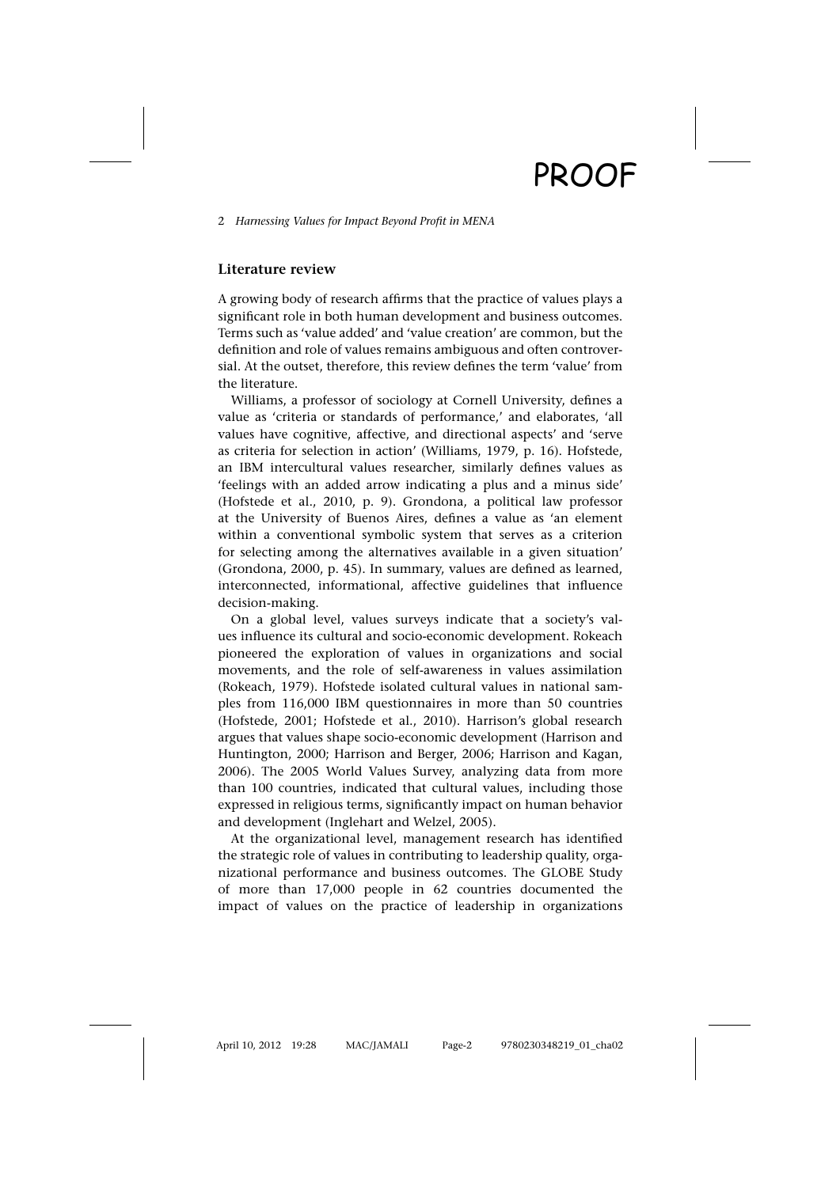#### 2 *Harnessing Values for Impact Beyond Profit in MENA*

### **Literature review**

A growing body of research affirms that the practice of values plays a significant role in both human development and business outcomes. Terms such as 'value added' and 'value creation' are common, but the definition and role of values remains ambiguous and often controversial. At the outset, therefore, this review defines the term 'value' from the literature.

Williams, a professor of sociology at Cornell University, defines a value as 'criteria or standards of performance,' and elaborates, 'all values have cognitive, affective, and directional aspects' and 'serve as criteria for selection in action' (Williams, 1979, p. 16). Hofstede, an IBM intercultural values researcher, similarly defines values as 'feelings with an added arrow indicating a plus and a minus side' (Hofstede et al., 2010, p. 9). Grondona, a political law professor at the University of Buenos Aires, defines a value as 'an element within a conventional symbolic system that serves as a criterion for selecting among the alternatives available in a given situation' (Grondona, 2000, p. 45). In summary, values are defined as learned, interconnected, informational, affective guidelines that influence decision-making.

On a global level, values surveys indicate that a society's values influence its cultural and socio-economic development. Rokeach pioneered the exploration of values in organizations and social movements, and the role of self-awareness in values assimilation (Rokeach, 1979). Hofstede isolated cultural values in national samples from 116,000 IBM questionnaires in more than 50 countries (Hofstede, 2001; Hofstede et al., 2010). Harrison's global research argues that values shape socio-economic development (Harrison and Huntington, 2000; Harrison and Berger, 2006; Harrison and Kagan, 2006). The 2005 World Values Survey, analyzing data from more than 100 countries, indicated that cultural values, including those expressed in religious terms, significantly impact on human behavior and development (Inglehart and Welzel, 2005).

At the organizational level, management research has identified the strategic role of values in contributing to leadership quality, organizational performance and business outcomes. The GLOBE Study of more than 17,000 people in 62 countries documented the impact of values on the practice of leadership in organizations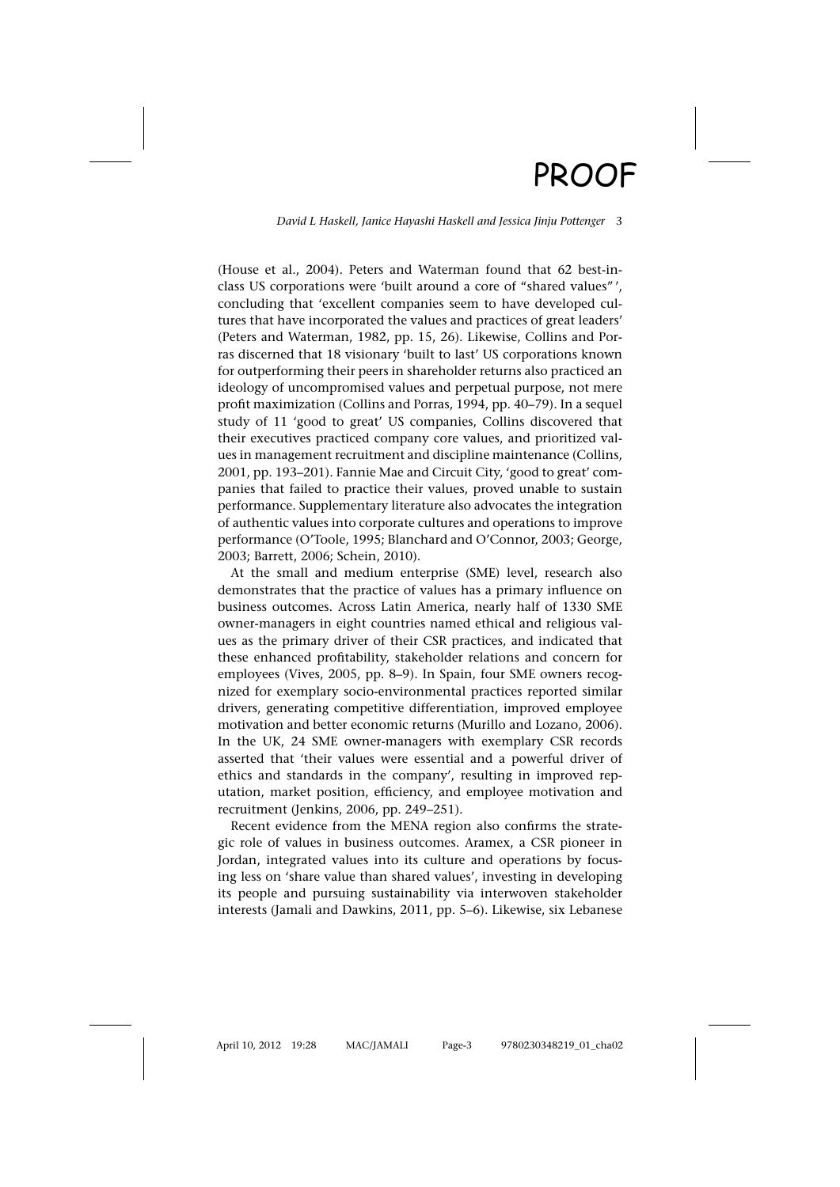#### *David L Haskell, Janice Hayashi Haskell and Jessica Jinju Pottenger* 3

(House et al., 2004). Peters and Waterman found that 62 best-inclass US corporations were 'built around a core of "shared values" ', concluding that 'excellent companies seem to have developed cultures that have incorporated the values and practices of great leaders' (Peters and Waterman, 1982, pp. 15, 26). Likewise, Collins and Porras discerned that 18 visionary 'built to last' US corporations known for outperforming their peers in shareholder returns also practiced an ideology of uncompromised values and perpetual purpose, not mere profit maximization (Collins and Porras, 1994, pp. 40–79). In a sequel study of 11 'good to great' US companies, Collins discovered that their executives practiced company core values, and prioritized values in management recruitment and discipline maintenance (Collins, 2001, pp. 193–201). Fannie Mae and Circuit City, 'good to great' companies that failed to practice their values, proved unable to sustain performance. Supplementary literature also advocates the integration of authentic values into corporate cultures and operations to improve performance (O'Toole, 1995; Blanchard and O'Connor, 2003; George, 2003; Barrett, 2006; Schein, 2010).

At the small and medium enterprise (SME) level, research also demonstrates that the practice of values has a primary influence on business outcomes. Across Latin America, nearly half of 1330 SME owner-managers in eight countries named ethical and religious values as the primary driver of their CSR practices, and indicated that these enhanced profitability, stakeholder relations and concern for employees (Vives, 2005, pp. 8–9). In Spain, four SME owners recognized for exemplary socio-environmental practices reported similar drivers, generating competitive differentiation, improved employee motivation and better economic returns (Murillo and Lozano, 2006). In the UK, 24 SME owner-managers with exemplary CSR records asserted that 'their values were essential and a powerful driver of ethics and standards in the company', resulting in improved reputation, market position, efficiency, and employee motivation and recruitment (Jenkins, 2006, pp. 249–251).

Recent evidence from the MENA region also confirms the strategic role of values in business outcomes. Aramex, a CSR pioneer in Jordan, integrated values into its culture and operations by focusing less on 'share value than shared values', investing in developing its people and pursuing sustainability via interwoven stakeholder interests (Jamali and Dawkins, 2011, pp. 5–6). Likewise, six Lebanese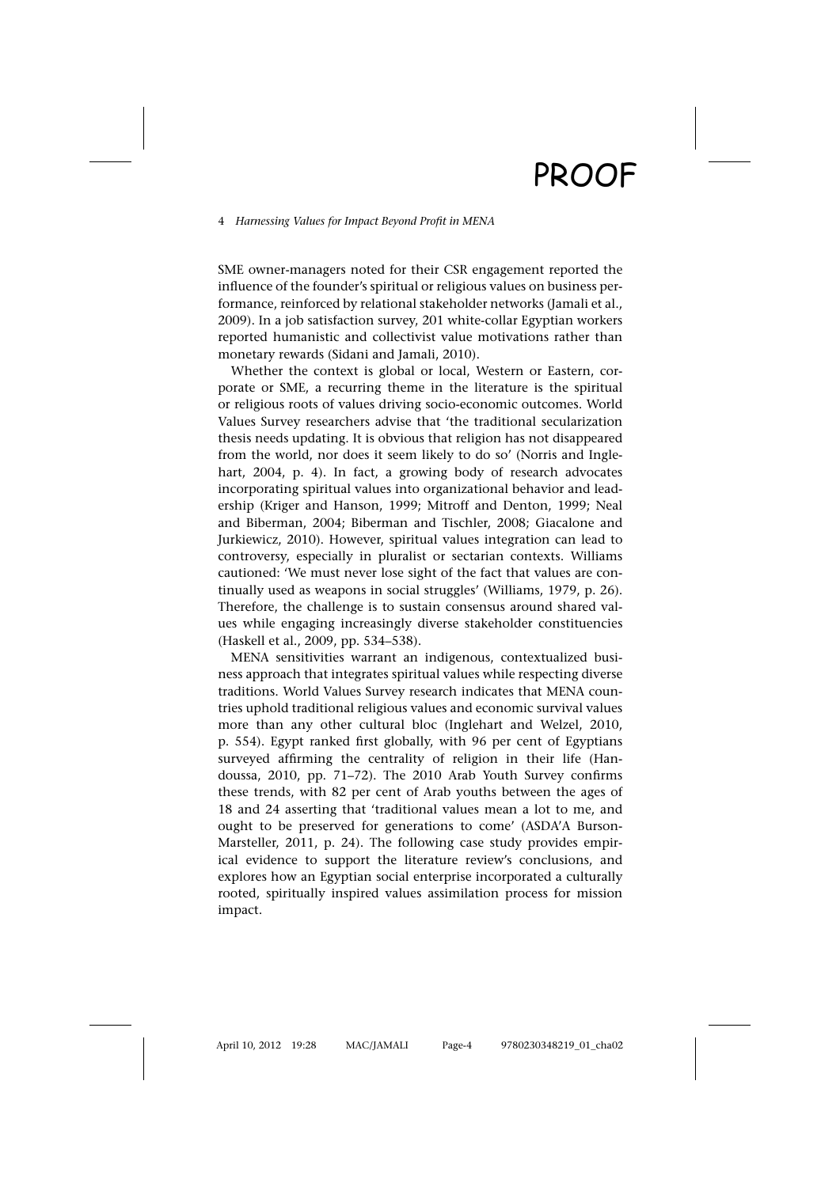#### 4 *Harnessing Values for Impact Beyond Profit in MENA*

SME owner-managers noted for their CSR engagement reported the influence of the founder's spiritual or religious values on business performance, reinforced by relational stakeholder networks (Jamali et al., 2009). In a job satisfaction survey, 201 white-collar Egyptian workers reported humanistic and collectivist value motivations rather than monetary rewards (Sidani and Jamali, 2010).

Whether the context is global or local, Western or Eastern, corporate or SME, a recurring theme in the literature is the spiritual or religious roots of values driving socio-economic outcomes. World Values Survey researchers advise that 'the traditional secularization thesis needs updating. It is obvious that religion has not disappeared from the world, nor does it seem likely to do so' (Norris and Inglehart, 2004, p. 4). In fact, a growing body of research advocates incorporating spiritual values into organizational behavior and leadership (Kriger and Hanson, 1999; Mitroff and Denton, 1999; Neal and Biberman, 2004; Biberman and Tischler, 2008; Giacalone and Jurkiewicz, 2010). However, spiritual values integration can lead to controversy, especially in pluralist or sectarian contexts. Williams cautioned: 'We must never lose sight of the fact that values are continually used as weapons in social struggles' (Williams, 1979, p. 26). Therefore, the challenge is to sustain consensus around shared values while engaging increasingly diverse stakeholder constituencies (Haskell et al., 2009, pp. 534–538).

MENA sensitivities warrant an indigenous, contextualized business approach that integrates spiritual values while respecting diverse traditions. World Values Survey research indicates that MENA countries uphold traditional religious values and economic survival values more than any other cultural bloc (Inglehart and Welzel, 2010, p. 554). Egypt ranked first globally, with 96 per cent of Egyptians surveyed affirming the centrality of religion in their life (Handoussa, 2010, pp. 71–72). The 2010 Arab Youth Survey confirms these trends, with 82 per cent of Arab youths between the ages of 18 and 24 asserting that 'traditional values mean a lot to me, and ought to be preserved for generations to come' (ASDA'A Burson-Marsteller, 2011, p. 24). The following case study provides empirical evidence to support the literature review's conclusions, and explores how an Egyptian social enterprise incorporated a culturally rooted, spiritually inspired values assimilation process for mission impact.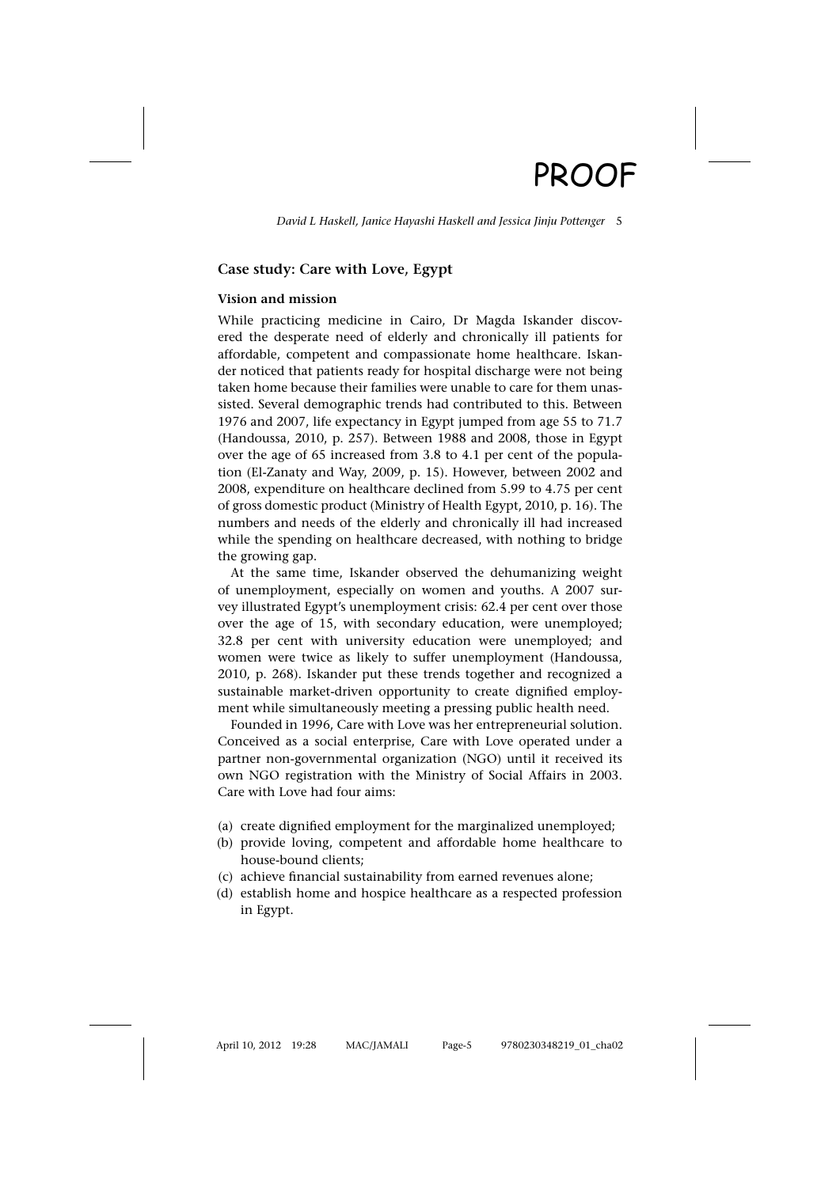*David L Haskell, Janice Hayashi Haskell and Jessica Jinju Pottenger* 5

## **Case study: Care with Love, Egypt**

### **Vision and mission**

While practicing medicine in Cairo, Dr Magda Iskander discovered the desperate need of elderly and chronically ill patients for affordable, competent and compassionate home healthcare. Iskander noticed that patients ready for hospital discharge were not being taken home because their families were unable to care for them unassisted. Several demographic trends had contributed to this. Between 1976 and 2007, life expectancy in Egypt jumped from age 55 to 71.7 (Handoussa, 2010, p. 257). Between 1988 and 2008, those in Egypt over the age of 65 increased from 3.8 to 4.1 per cent of the population (El-Zanaty and Way, 2009, p. 15). However, between 2002 and 2008, expenditure on healthcare declined from 5.99 to 4.75 per cent of gross domestic product (Ministry of Health Egypt, 2010, p. 16). The numbers and needs of the elderly and chronically ill had increased while the spending on healthcare decreased, with nothing to bridge the growing gap.

At the same time, Iskander observed the dehumanizing weight of unemployment, especially on women and youths. A 2007 survey illustrated Egypt's unemployment crisis: 62.4 per cent over those over the age of 15, with secondary education, were unemployed; 32.8 per cent with university education were unemployed; and women were twice as likely to suffer unemployment (Handoussa, 2010, p. 268). Iskander put these trends together and recognized a sustainable market-driven opportunity to create dignified employment while simultaneously meeting a pressing public health need.

Founded in 1996, Care with Love was her entrepreneurial solution. Conceived as a social enterprise, Care with Love operated under a partner non-governmental organization (NGO) until it received its own NGO registration with the Ministry of Social Affairs in 2003. Care with Love had four aims:

- (a) create dignified employment for the marginalized unemployed;
- (b) provide loving, competent and affordable home healthcare to house-bound clients;
- (c) achieve financial sustainability from earned revenues alone;
- (d) establish home and hospice healthcare as a respected profession in Egypt.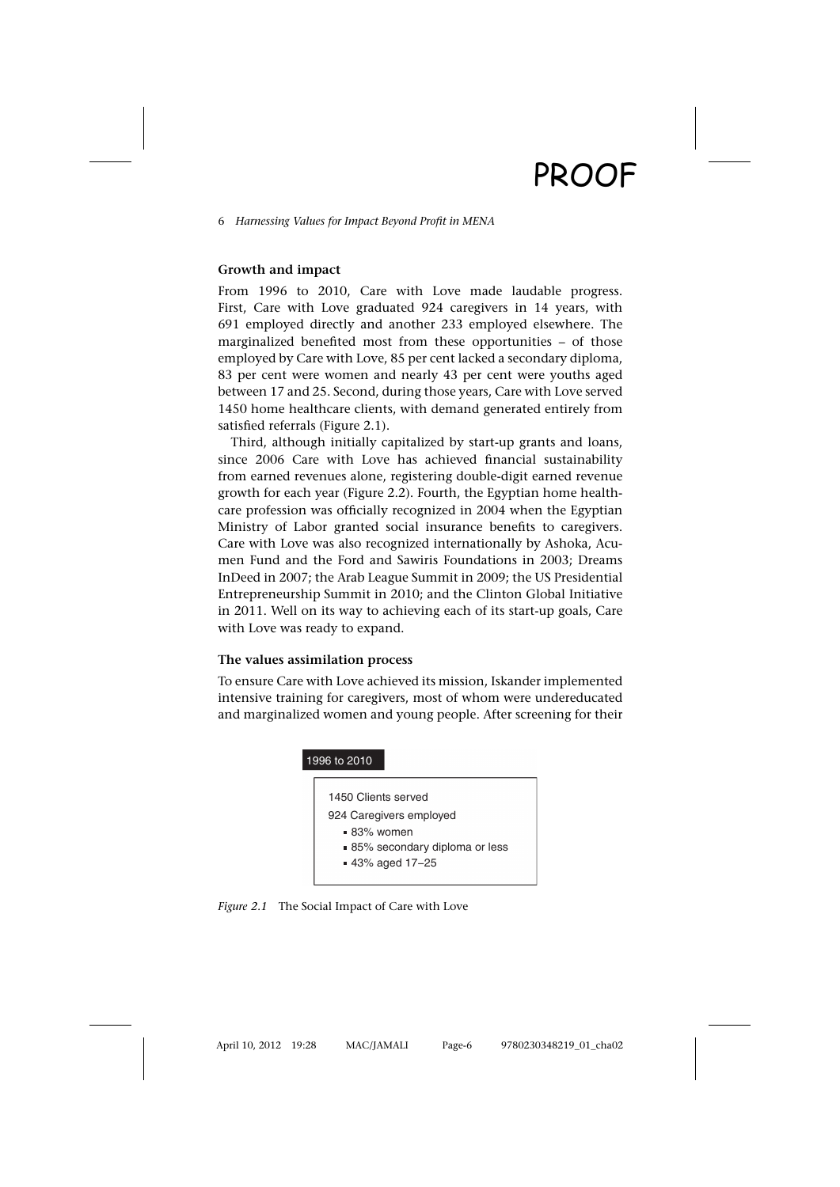#### 6 *Harnessing Values for Impact Beyond Profit in MENA*

## **Growth and impact**

From 1996 to 2010, Care with Love made laudable progress. First, Care with Love graduated 924 caregivers in 14 years, with 691 employed directly and another 233 employed elsewhere. The marginalized benefited most from these opportunities – of those employed by Care with Love, 85 per cent lacked a secondary diploma, 83 per cent were women and nearly 43 per cent were youths aged between 17 and 25. Second, during those years, Care with Love served 1450 home healthcare clients, with demand generated entirely from satisfied referrals (Figure 2.1).

Third, although initially capitalized by start-up grants and loans, since 2006 Care with Love has achieved financial sustainability from earned revenues alone, registering double-digit earned revenue growth for each year (Figure 2.2). Fourth, the Egyptian home healthcare profession was officially recognized in 2004 when the Egyptian Ministry of Labor granted social insurance benefits to caregivers. Care with Love was also recognized internationally by Ashoka, Acumen Fund and the Ford and Sawiris Foundations in 2003; Dreams InDeed in 2007; the Arab League Summit in 2009; the US Presidential Entrepreneurship Summit in 2010; and the Clinton Global Initiative in 2011. Well on its way to achieving each of its start-up goals, Care with Love was ready to expand.

#### **The values assimilation process**

To ensure Care with Love achieved its mission, Iskander implemented intensive training for caregivers, most of whom were undereducated and marginalized women and young people. After screening for their



*Figure 2.1* The Social Impact of Care with Love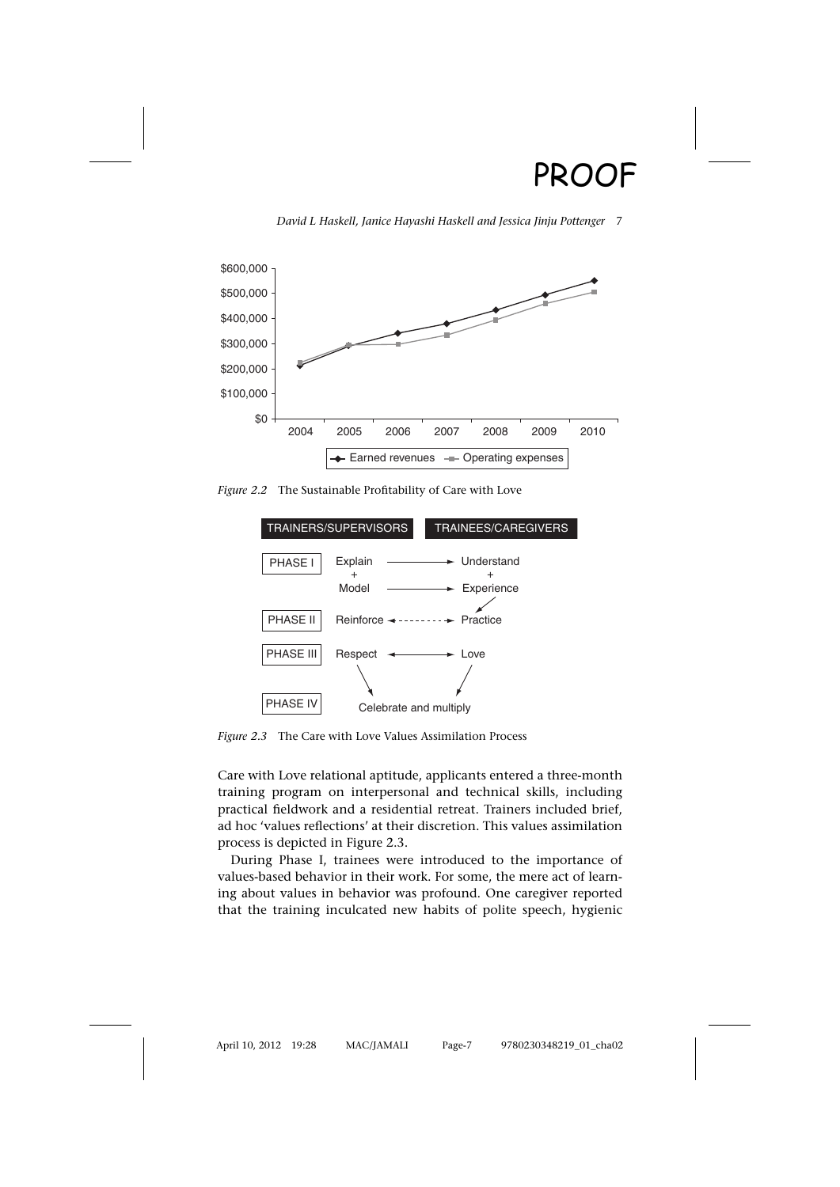

*David L Haskell, Janice Hayashi Haskell and Jessica Jinju Pottenger* 7

*Figure 2.2* The Sustainable Profitability of Care with Love



*Figure 2.3* The Care with Love Values Assimilation Process

Care with Love relational aptitude, applicants entered a three-month training program on interpersonal and technical skills, including practical fieldwork and a residential retreat. Trainers included brief, ad hoc 'values reflections' at their discretion. This values assimilation process is depicted in Figure 2.3.

During Phase I, trainees were introduced to the importance of values-based behavior in their work. For some, the mere act of learning about values in behavior was profound. One caregiver reported that the training inculcated new habits of polite speech, hygienic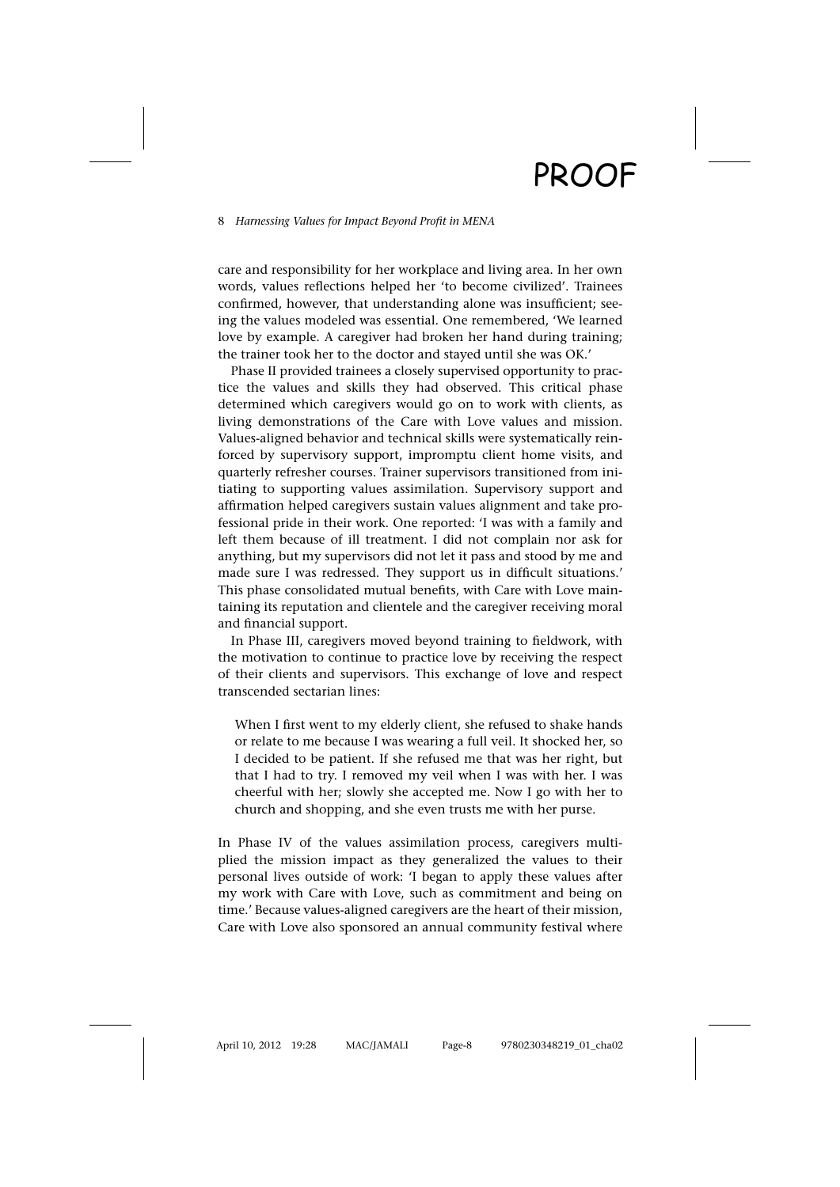#### 8 *Harnessing Values for Impact Beyond Profit in MENA*

care and responsibility for her workplace and living area. In her own words, values reflections helped her 'to become civilized'. Trainees confirmed, however, that understanding alone was insufficient; seeing the values modeled was essential. One remembered, 'We learned love by example. A caregiver had broken her hand during training; the trainer took her to the doctor and stayed until she was OK.'

Phase II provided trainees a closely supervised opportunity to practice the values and skills they had observed. This critical phase determined which caregivers would go on to work with clients, as living demonstrations of the Care with Love values and mission. Values-aligned behavior and technical skills were systematically reinforced by supervisory support, impromptu client home visits, and quarterly refresher courses. Trainer supervisors transitioned from initiating to supporting values assimilation. Supervisory support and affirmation helped caregivers sustain values alignment and take professional pride in their work. One reported: 'I was with a family and left them because of ill treatment. I did not complain nor ask for anything, but my supervisors did not let it pass and stood by me and made sure I was redressed. They support us in difficult situations.' This phase consolidated mutual benefits, with Care with Love maintaining its reputation and clientele and the caregiver receiving moral and financial support.

In Phase III, caregivers moved beyond training to fieldwork, with the motivation to continue to practice love by receiving the respect of their clients and supervisors. This exchange of love and respect transcended sectarian lines:

When I first went to my elderly client, she refused to shake hands or relate to me because I was wearing a full veil. It shocked her, so I decided to be patient. If she refused me that was her right, but that I had to try. I removed my veil when I was with her. I was cheerful with her; slowly she accepted me. Now I go with her to church and shopping, and she even trusts me with her purse.

In Phase IV of the values assimilation process, caregivers multiplied the mission impact as they generalized the values to their personal lives outside of work: 'I began to apply these values after my work with Care with Love, such as commitment and being on time.' Because values-aligned caregivers are the heart of their mission, Care with Love also sponsored an annual community festival where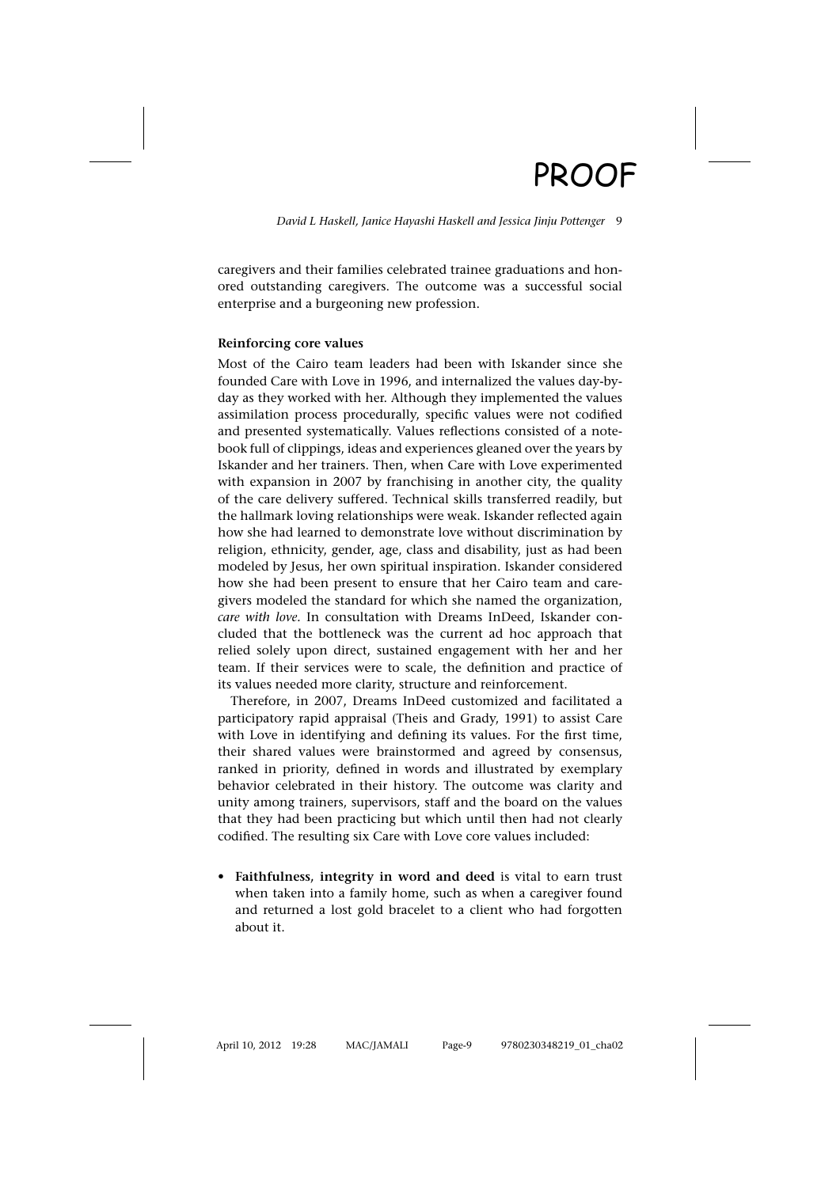*David L Haskell, Janice Hayashi Haskell and Jessica Jinju Pottenger* 9

caregivers and their families celebrated trainee graduations and honored outstanding caregivers. The outcome was a successful social enterprise and a burgeoning new profession.

### **Reinforcing core values**

Most of the Cairo team leaders had been with Iskander since she founded Care with Love in 1996, and internalized the values day-byday as they worked with her. Although they implemented the values assimilation process procedurally, specific values were not codified and presented systematically. Values reflections consisted of a notebook full of clippings, ideas and experiences gleaned over the years by Iskander and her trainers. Then, when Care with Love experimented with expansion in 2007 by franchising in another city, the quality of the care delivery suffered. Technical skills transferred readily, but the hallmark loving relationships were weak. Iskander reflected again how she had learned to demonstrate love without discrimination by religion, ethnicity, gender, age, class and disability, just as had been modeled by Jesus, her own spiritual inspiration. Iskander considered how she had been present to ensure that her Cairo team and caregivers modeled the standard for which she named the organization, *care with love.* In consultation with Dreams InDeed, Iskander concluded that the bottleneck was the current ad hoc approach that relied solely upon direct, sustained engagement with her and her team. If their services were to scale, the definition and practice of its values needed more clarity, structure and reinforcement.

Therefore, in 2007, Dreams InDeed customized and facilitated a participatory rapid appraisal (Theis and Grady, 1991) to assist Care with Love in identifying and defining its values. For the first time, their shared values were brainstormed and agreed by consensus, ranked in priority, defined in words and illustrated by exemplary behavior celebrated in their history. The outcome was clarity and unity among trainers, supervisors, staff and the board on the values that they had been practicing but which until then had not clearly codified. The resulting six Care with Love core values included:

• **Faithfulness, integrity in word and deed** is vital to earn trust when taken into a family home, such as when a caregiver found and returned a lost gold bracelet to a client who had forgotten about it.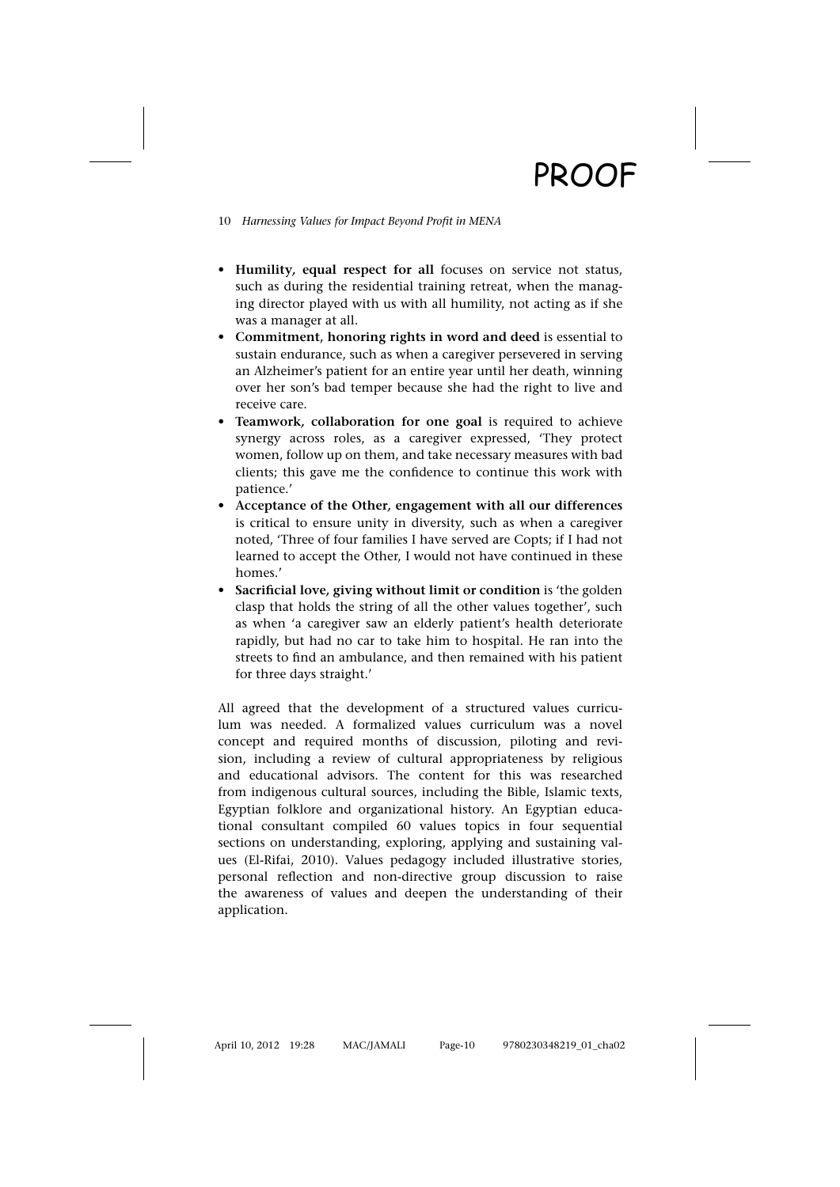#### 10 *Harnessing Values for Impact Beyond Profit in MENA*

- **Humility***,* **equal respect for all** focuses on service not status, such as during the residential training retreat, when the managing director played with us with all humility, not acting as if she was a manager at all.
- **Commitment, honoring rights in word and deed** is essential to sustain endurance, such as when a caregiver persevered in serving an Alzheimer's patient for an entire year until her death, winning over her son's bad temper because she had the right to live and receive care.
- **Teamwork***,* **collaboration for one goal** is required to achieve synergy across roles, as a caregiver expressed, 'They protect women, follow up on them, and take necessary measures with bad clients; this gave me the confidence to continue this work with patience.'
- **Acceptance of the Other***,* **engagement with all our differences** is critical to ensure unity in diversity, such as when a caregiver noted, 'Three of four families I have served are Copts; if I had not learned to accept the Other, I would not have continued in these homes.'
- **Sacrificial love***,* **giving without limit or condition** is 'the golden clasp that holds the string of all the other values together', such as when 'a caregiver saw an elderly patient's health deteriorate rapidly, but had no car to take him to hospital. He ran into the streets to find an ambulance, and then remained with his patient for three days straight.'

All agreed that the development of a structured values curriculum was needed. A formalized values curriculum was a novel concept and required months of discussion, piloting and revision, including a review of cultural appropriateness by religious and educational advisors. The content for this was researched from indigenous cultural sources, including the Bible, Islamic texts, Egyptian folklore and organizational history. An Egyptian educational consultant compiled 60 values topics in four sequential sections on understanding, exploring, applying and sustaining values (El-Rifai, 2010). Values pedagogy included illustrative stories, personal reflection and non-directive group discussion to raise the awareness of values and deepen the understanding of their application.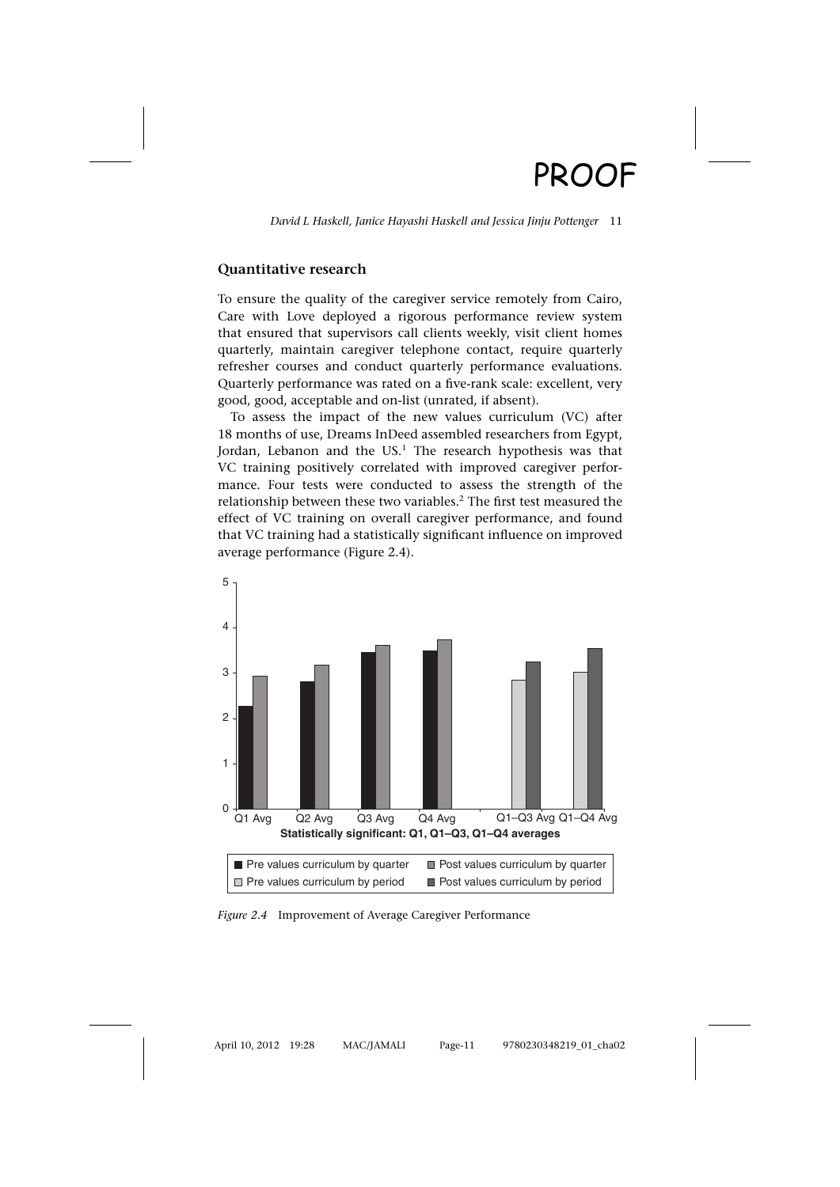*David L Haskell, Janice Hayashi Haskell and Jessica Jinju Pottenger* 11

## **Quantitative research**

To ensure the quality of the caregiver service remotely from Cairo, Care with Love deployed a rigorous performance review system that ensured that supervisors call clients weekly, visit client homes quarterly, maintain caregiver telephone contact, require quarterly refresher courses and conduct quarterly performance evaluations. Quarterly performance was rated on a five-rank scale: excellent, very good, good, acceptable and on-list (unrated, if absent).

To assess the impact of the new values curriculum (VC) after 18 months of use, Dreams InDeed assembled researchers from Egypt, Jordan, Lebanon and the US.<sup>1</sup> The research hypothesis was that VC training positively correlated with improved caregiver performance. Four tests were conducted to assess the strength of the relationship between these two variables.<sup>2</sup> The first test measured the effect of VC training on overall caregiver performance, and found that VC training had a statistically significant influence on improved average performance (Figure 2.4).



*Figure 2.4* Improvement of Average Caregiver Performance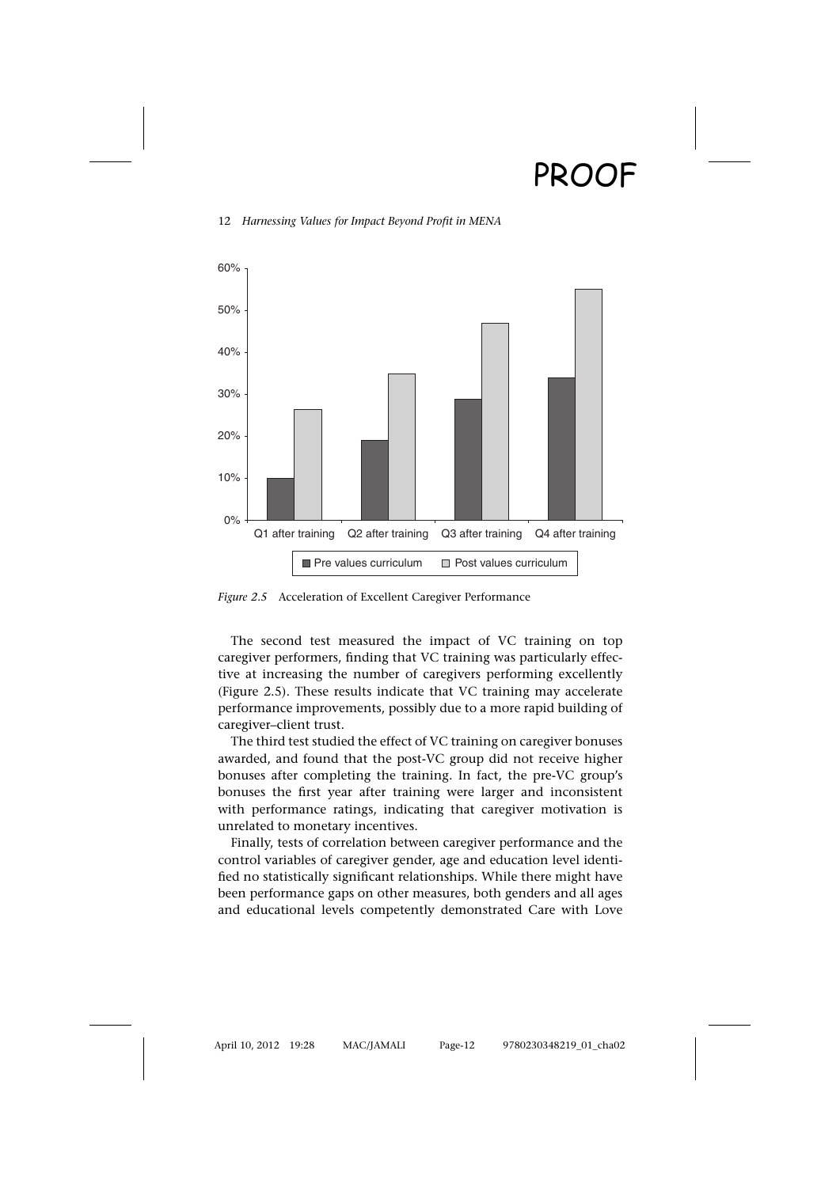12 *Harnessing Values for Impact Beyond Profit in MENA*



*Figure 2.5* Acceleration of Excellent Caregiver Performance

The second test measured the impact of VC training on top caregiver performers, finding that VC training was particularly effective at increasing the number of caregivers performing excellently (Figure 2.5). These results indicate that VC training may accelerate performance improvements, possibly due to a more rapid building of caregiver–client trust.

The third test studied the effect of VC training on caregiver bonuses awarded, and found that the post-VC group did not receive higher bonuses after completing the training. In fact, the pre-VC group's bonuses the first year after training were larger and inconsistent with performance ratings, indicating that caregiver motivation is unrelated to monetary incentives.

Finally, tests of correlation between caregiver performance and the control variables of caregiver gender, age and education level identified no statistically significant relationships. While there might have been performance gaps on other measures, both genders and all ages and educational levels competently demonstrated Care with Love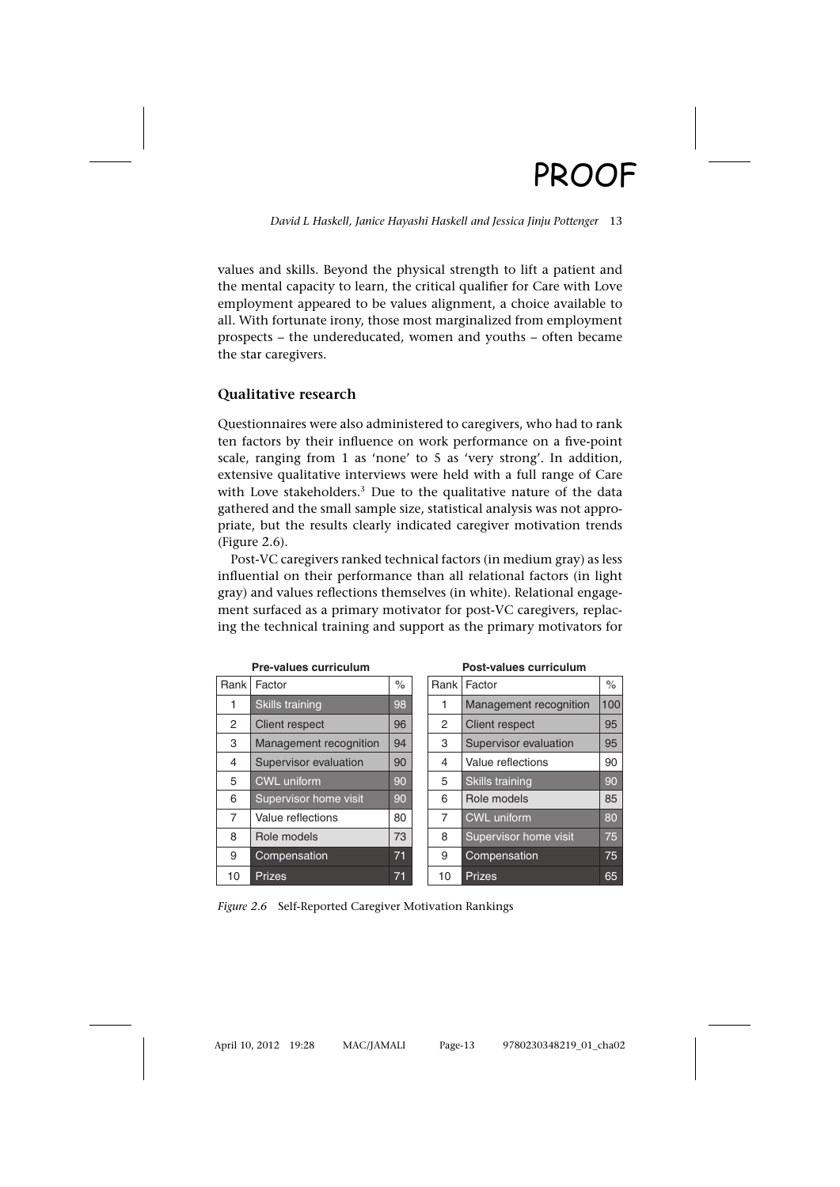*David L Haskell, Janice Hayashi Haskell and Jessica Jinju Pottenger* 13

values and skills. Beyond the physical strength to lift a patient and the mental capacity to learn, the critical qualifier for Care with Love employment appeared to be values alignment, a choice available to all. With fortunate irony, those most marginalized from employment prospects – the undereducated, women and youths – often became the star caregivers.

### **Qualitative research**

Questionnaires were also administered to caregivers, who had to rank ten factors by their influence on work performance on a five-point scale, ranging from 1 as 'none' to 5 as 'very strong'. In addition, extensive qualitative interviews were held with a full range of Care with Love stakeholders.<sup>3</sup> Due to the qualitative nature of the data gathered and the small sample size, statistical analysis was not appropriate, but the results clearly indicated caregiver motivation trends (Figure 2.6).

Post-VC caregivers ranked technical factors (in medium gray) as less influential on their performance than all relational factors (in light gray) and values reflections themselves (in white). Relational engagement surfaced as a primary motivator for post-VC caregivers, replacing the technical training and support as the primary motivators for

| Pre-values curriculum |                        |      |  | Post-values curriculum |                        |  |
|-----------------------|------------------------|------|--|------------------------|------------------------|--|
| Rank                  | Factor                 | $\%$ |  | Rank                   | Factor                 |  |
| 1                     | <b>Skills training</b> | 98   |  | 1                      | Management recognition |  |
| 2                     | <b>Client respect</b>  | 96   |  | 2                      | <b>Client respect</b>  |  |
| 3                     | Management recognition | 94   |  | 3                      | Supervisor evaluation  |  |
| 4                     | Supervisor evaluation  | 90   |  | 4                      | Value reflections      |  |
| 5                     | <b>CWL</b> uniform     | 90   |  | 5                      | <b>Skills training</b> |  |
| 6                     | Supervisor home visit  | 90   |  | 6                      | Role models            |  |
| $\overline{7}$        | Value reflections      | 80   |  | $\overline{7}$         | <b>CWL</b> uniform     |  |
| 8                     | Role models            | 73   |  | 8                      | Supervisor home visit  |  |
| 9                     | Compensation           | 71   |  | 9                      | Compensation           |  |
| 10                    | <b>Prizes</b>          | 71   |  | 10                     | <b>Prizes</b>          |  |

| Rank   Factor              |  |
|----------------------------|--|
| Management recognition 100 |  |
|                            |  |

| $\overline{2}$ | <b>Client respect</b>        | 95 |
|----------------|------------------------------|----|
| 3              | Supervisor evaluation        | 95 |
| 4              | Value reflections            | 90 |
| 5              | <b>Skills training</b>       | 90 |
| 6              | Role models                  | 85 |
| 7              | <b>CWL</b> uniform           | 80 |
| 8              | <b>Supervisor home visit</b> | 75 |
| 9              | Compensation                 | 75 |
| 10             | Prizes                       | 65 |

*Figure 2.6* Self-Reported Caregiver Motivation Rankings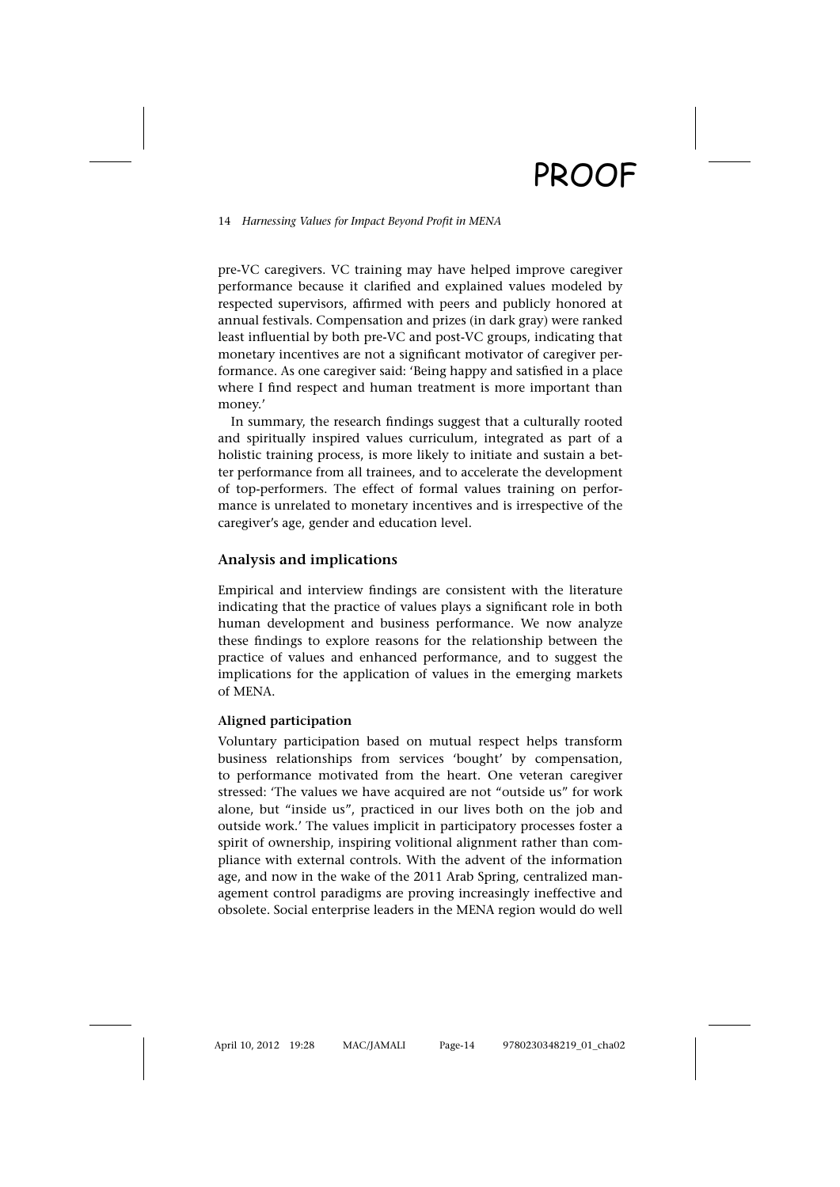#### 14 *Harnessing Values for Impact Beyond Profit in MENA*

pre-VC caregivers. VC training may have helped improve caregiver performance because it clarified and explained values modeled by respected supervisors, affirmed with peers and publicly honored at annual festivals. Compensation and prizes (in dark gray) were ranked least influential by both pre-VC and post-VC groups, indicating that monetary incentives are not a significant motivator of caregiver performance. As one caregiver said: 'Being happy and satisfied in a place where I find respect and human treatment is more important than money.'

In summary, the research findings suggest that a culturally rooted and spiritually inspired values curriculum, integrated as part of a holistic training process, is more likely to initiate and sustain a better performance from all trainees, and to accelerate the development of top-performers. The effect of formal values training on performance is unrelated to monetary incentives and is irrespective of the caregiver's age, gender and education level.

### **Analysis and implications**

Empirical and interview findings are consistent with the literature indicating that the practice of values plays a significant role in both human development and business performance. We now analyze these findings to explore reasons for the relationship between the practice of values and enhanced performance, and to suggest the implications for the application of values in the emerging markets of MENA.

### **Aligned participation**

Voluntary participation based on mutual respect helps transform business relationships from services 'bought' by compensation, to performance motivated from the heart. One veteran caregiver stressed: 'The values we have acquired are not "outside us" for work alone, but "inside us", practiced in our lives both on the job and outside work.' The values implicit in participatory processes foster a spirit of ownership, inspiring volitional alignment rather than compliance with external controls. With the advent of the information age, and now in the wake of the 2011 Arab Spring, centralized management control paradigms are proving increasingly ineffective and obsolete. Social enterprise leaders in the MENA region would do well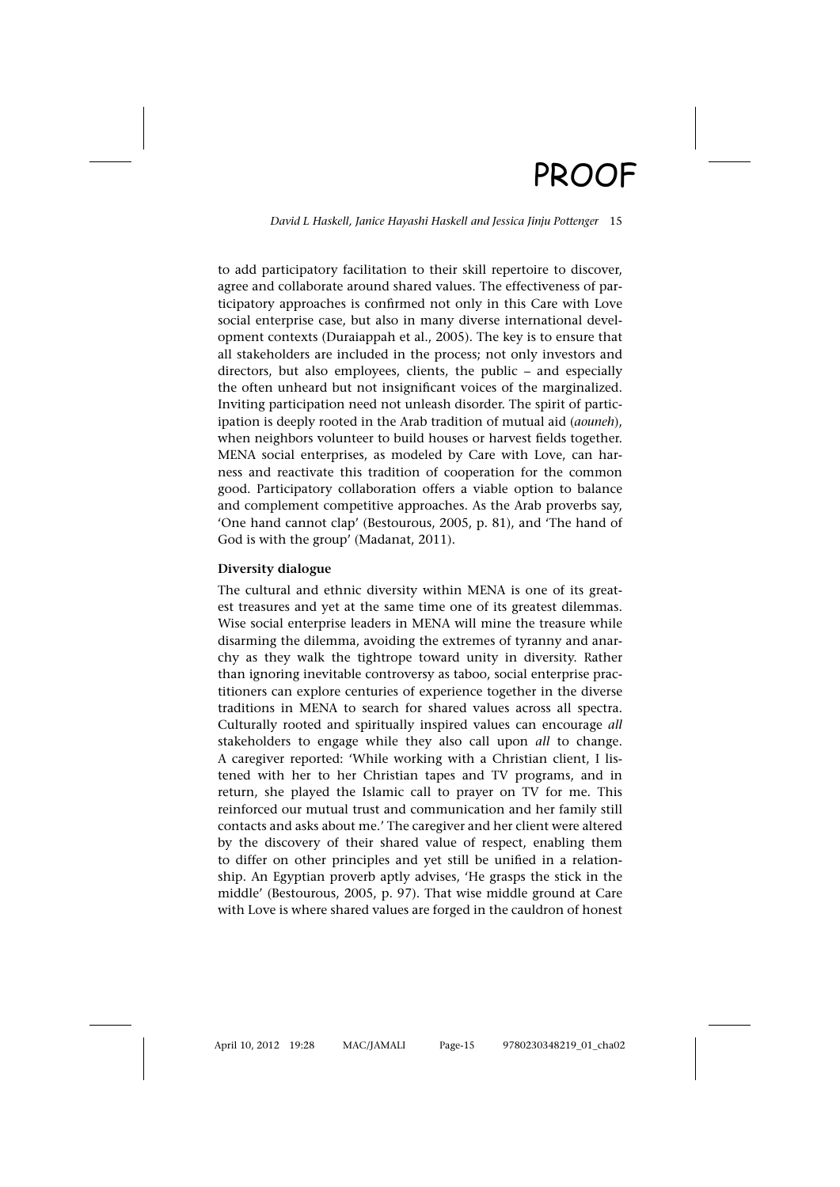#### *David L Haskell, Janice Hayashi Haskell and Jessica Jinju Pottenger* 15

to add participatory facilitation to their skill repertoire to discover, agree and collaborate around shared values. The effectiveness of participatory approaches is confirmed not only in this Care with Love social enterprise case, but also in many diverse international development contexts (Duraiappah et al., 2005). The key is to ensure that all stakeholders are included in the process; not only investors and directors, but also employees, clients, the public – and especially the often unheard but not insignificant voices of the marginalized. Inviting participation need not unleash disorder. The spirit of participation is deeply rooted in the Arab tradition of mutual aid (*aouneh*), when neighbors volunteer to build houses or harvest fields together. MENA social enterprises, as modeled by Care with Love, can harness and reactivate this tradition of cooperation for the common good. Participatory collaboration offers a viable option to balance and complement competitive approaches. As the Arab proverbs say, 'One hand cannot clap' (Bestourous, 2005, p. 81), and 'The hand of God is with the group' (Madanat, 2011).

### **Diversity dialogue**

The cultural and ethnic diversity within MENA is one of its greatest treasures and yet at the same time one of its greatest dilemmas. Wise social enterprise leaders in MENA will mine the treasure while disarming the dilemma, avoiding the extremes of tyranny and anarchy as they walk the tightrope toward unity in diversity. Rather than ignoring inevitable controversy as taboo, social enterprise practitioners can explore centuries of experience together in the diverse traditions in MENA to search for shared values across all spectra. Culturally rooted and spiritually inspired values can encourage *all* stakeholders to engage while they also call upon *all* to change. A caregiver reported: 'While working with a Christian client, I listened with her to her Christian tapes and TV programs, and in return, she played the Islamic call to prayer on TV for me. This reinforced our mutual trust and communication and her family still contacts and asks about me.' The caregiver and her client were altered by the discovery of their shared value of respect, enabling them to differ on other principles and yet still be unified in a relationship. An Egyptian proverb aptly advises, 'He grasps the stick in the middle' (Bestourous, 2005, p. 97). That wise middle ground at Care with Love is where shared values are forged in the cauldron of honest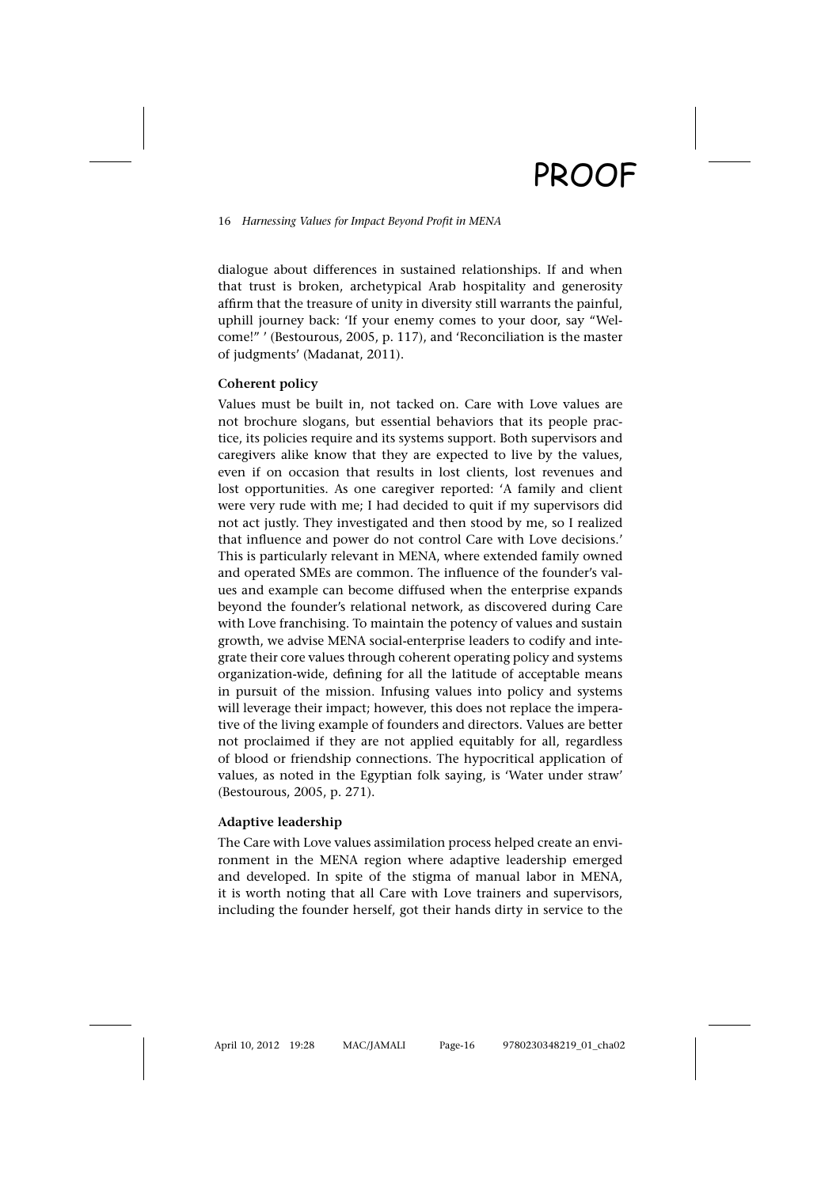#### 16 *Harnessing Values for Impact Beyond Profit in MENA*

dialogue about differences in sustained relationships. If and when that trust is broken, archetypical Arab hospitality and generosity affirm that the treasure of unity in diversity still warrants the painful, uphill journey back: 'If your enemy comes to your door, say "Welcome!" ' (Bestourous, 2005, p. 117), and 'Reconciliation is the master of judgments' (Madanat, 2011).

### **Coherent policy**

Values must be built in, not tacked on. Care with Love values are not brochure slogans, but essential behaviors that its people practice, its policies require and its systems support. Both supervisors and caregivers alike know that they are expected to live by the values, even if on occasion that results in lost clients, lost revenues and lost opportunities. As one caregiver reported: 'A family and client were very rude with me; I had decided to quit if my supervisors did not act justly. They investigated and then stood by me, so I realized that influence and power do not control Care with Love decisions.' This is particularly relevant in MENA, where extended family owned and operated SMEs are common. The influence of the founder's values and example can become diffused when the enterprise expands beyond the founder's relational network, as discovered during Care with Love franchising. To maintain the potency of values and sustain growth, we advise MENA social-enterprise leaders to codify and integrate their core values through coherent operating policy and systems organization-wide, defining for all the latitude of acceptable means in pursuit of the mission. Infusing values into policy and systems will leverage their impact; however, this does not replace the imperative of the living example of founders and directors. Values are better not proclaimed if they are not applied equitably for all, regardless of blood or friendship connections. The hypocritical application of values, as noted in the Egyptian folk saying, is 'Water under straw' (Bestourous, 2005, p. 271).

### **Adaptive leadership**

The Care with Love values assimilation process helped create an environment in the MENA region where adaptive leadership emerged and developed. In spite of the stigma of manual labor in MENA, it is worth noting that all Care with Love trainers and supervisors, including the founder herself, got their hands dirty in service to the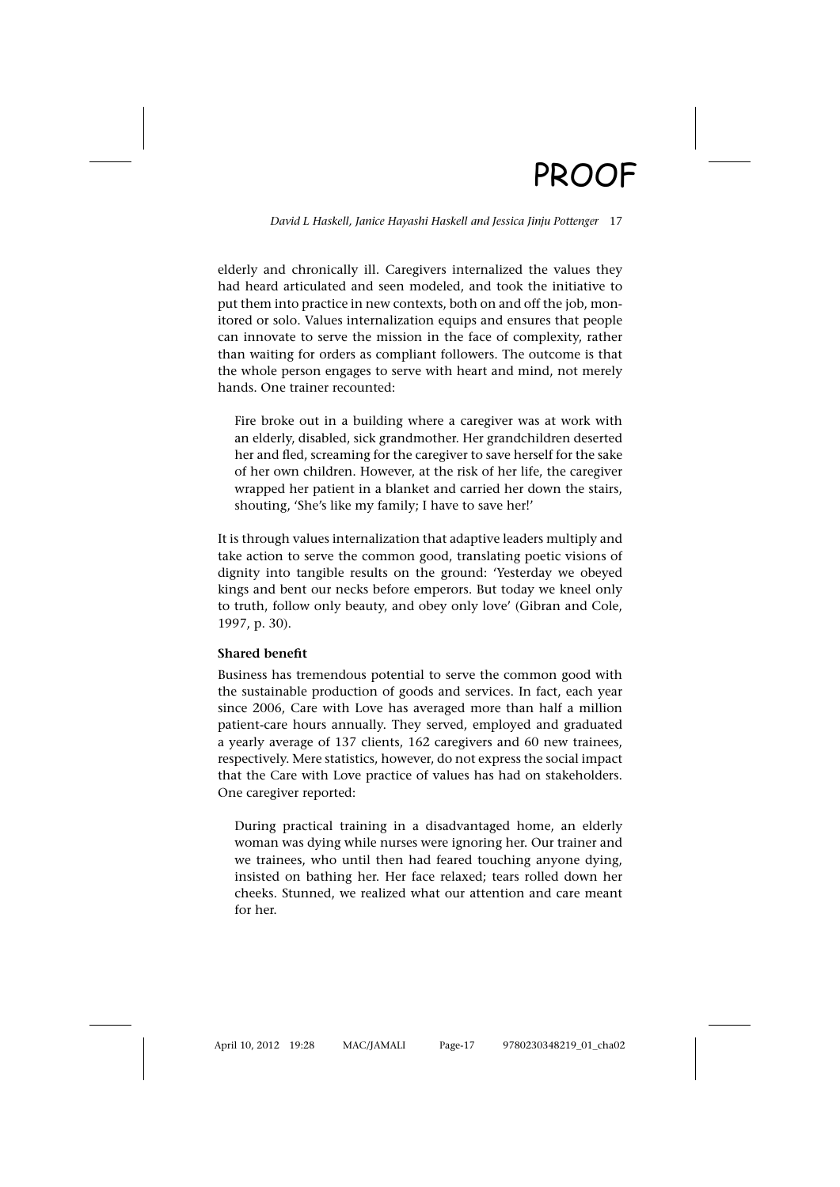#### *David L Haskell, Janice Hayashi Haskell and Jessica Jinju Pottenger* 17

elderly and chronically ill. Caregivers internalized the values they had heard articulated and seen modeled, and took the initiative to put them into practice in new contexts, both on and off the job, monitored or solo. Values internalization equips and ensures that people can innovate to serve the mission in the face of complexity, rather than waiting for orders as compliant followers. The outcome is that the whole person engages to serve with heart and mind, not merely hands. One trainer recounted:

Fire broke out in a building where a caregiver was at work with an elderly, disabled, sick grandmother. Her grandchildren deserted her and fled, screaming for the caregiver to save herself for the sake of her own children. However, at the risk of her life, the caregiver wrapped her patient in a blanket and carried her down the stairs, shouting, 'She's like my family; I have to save her!'

It is through values internalization that adaptive leaders multiply and take action to serve the common good, translating poetic visions of dignity into tangible results on the ground: 'Yesterday we obeyed kings and bent our necks before emperors. But today we kneel only to truth, follow only beauty, and obey only love' (Gibran and Cole, 1997, p. 30).

### **Shared benefit**

Business has tremendous potential to serve the common good with the sustainable production of goods and services. In fact, each year since 2006, Care with Love has averaged more than half a million patient-care hours annually. They served, employed and graduated a yearly average of 137 clients, 162 caregivers and 60 new trainees, respectively. Mere statistics, however, do not express the social impact that the Care with Love practice of values has had on stakeholders. One caregiver reported:

During practical training in a disadvantaged home, an elderly woman was dying while nurses were ignoring her. Our trainer and we trainees, who until then had feared touching anyone dying, insisted on bathing her. Her face relaxed; tears rolled down her cheeks. Stunned, we realized what our attention and care meant for her.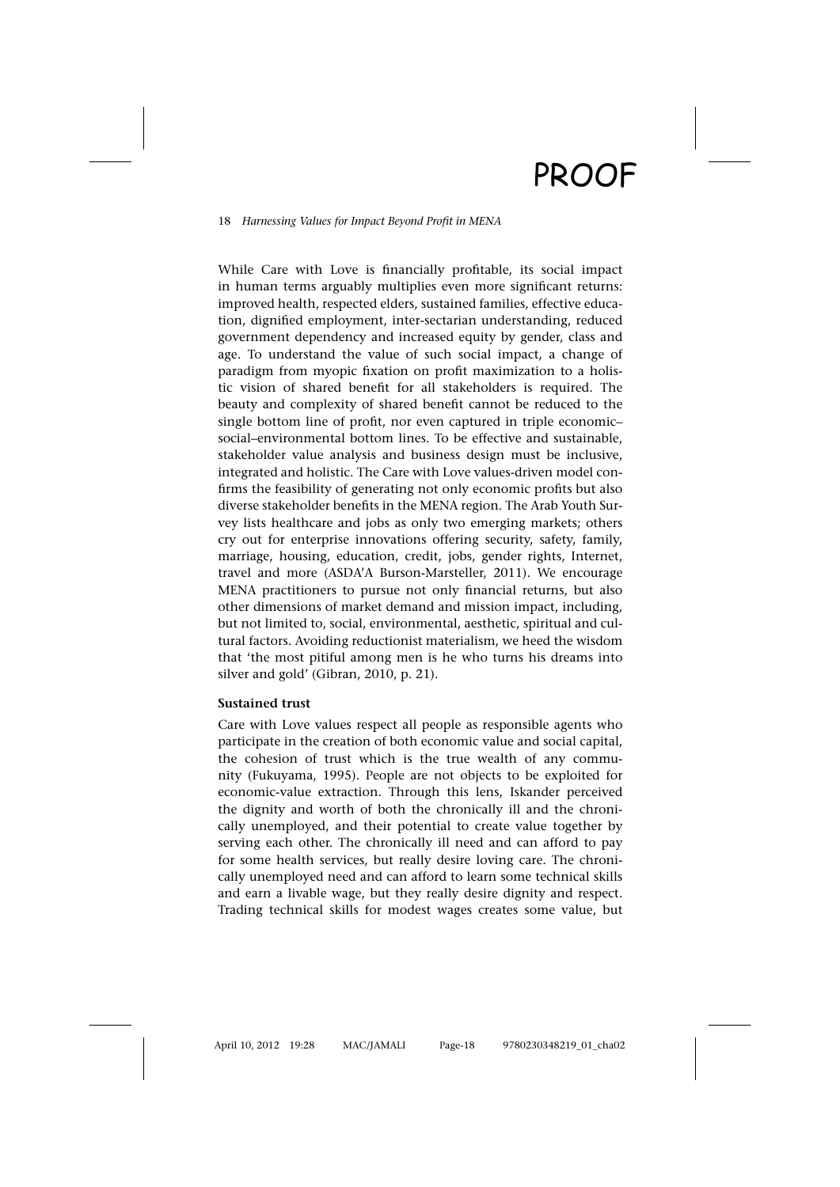#### 18 *Harnessing Values for Impact Beyond Profit in MENA*

While Care with Love is financially profitable, its social impact in human terms arguably multiplies even more significant returns: improved health, respected elders, sustained families, effective education, dignified employment, inter-sectarian understanding, reduced government dependency and increased equity by gender, class and age. To understand the value of such social impact, a change of paradigm from myopic fixation on profit maximization to a holistic vision of shared benefit for all stakeholders is required. The beauty and complexity of shared benefit cannot be reduced to the single bottom line of profit, nor even captured in triple economic– social–environmental bottom lines. To be effective and sustainable, stakeholder value analysis and business design must be inclusive, integrated and holistic. The Care with Love values-driven model confirms the feasibility of generating not only economic profits but also diverse stakeholder benefits in the MENA region. The Arab Youth Survey lists healthcare and jobs as only two emerging markets; others cry out for enterprise innovations offering security, safety, family, marriage, housing, education, credit, jobs, gender rights, Internet, travel and more (ASDA'A Burson-Marsteller, 2011). We encourage MENA practitioners to pursue not only financial returns, but also other dimensions of market demand and mission impact, including, but not limited to, social, environmental, aesthetic, spiritual and cultural factors. Avoiding reductionist materialism, we heed the wisdom that 'the most pitiful among men is he who turns his dreams into silver and gold' (Gibran, 2010, p. 21).

### **Sustained trust**

Care with Love values respect all people as responsible agents who participate in the creation of both economic value and social capital, the cohesion of trust which is the true wealth of any community (Fukuyama, 1995). People are not objects to be exploited for economic-value extraction. Through this lens, Iskander perceived the dignity and worth of both the chronically ill and the chronically unemployed, and their potential to create value together by serving each other. The chronically ill need and can afford to pay for some health services, but really desire loving care. The chronically unemployed need and can afford to learn some technical skills and earn a livable wage, but they really desire dignity and respect. Trading technical skills for modest wages creates some value, but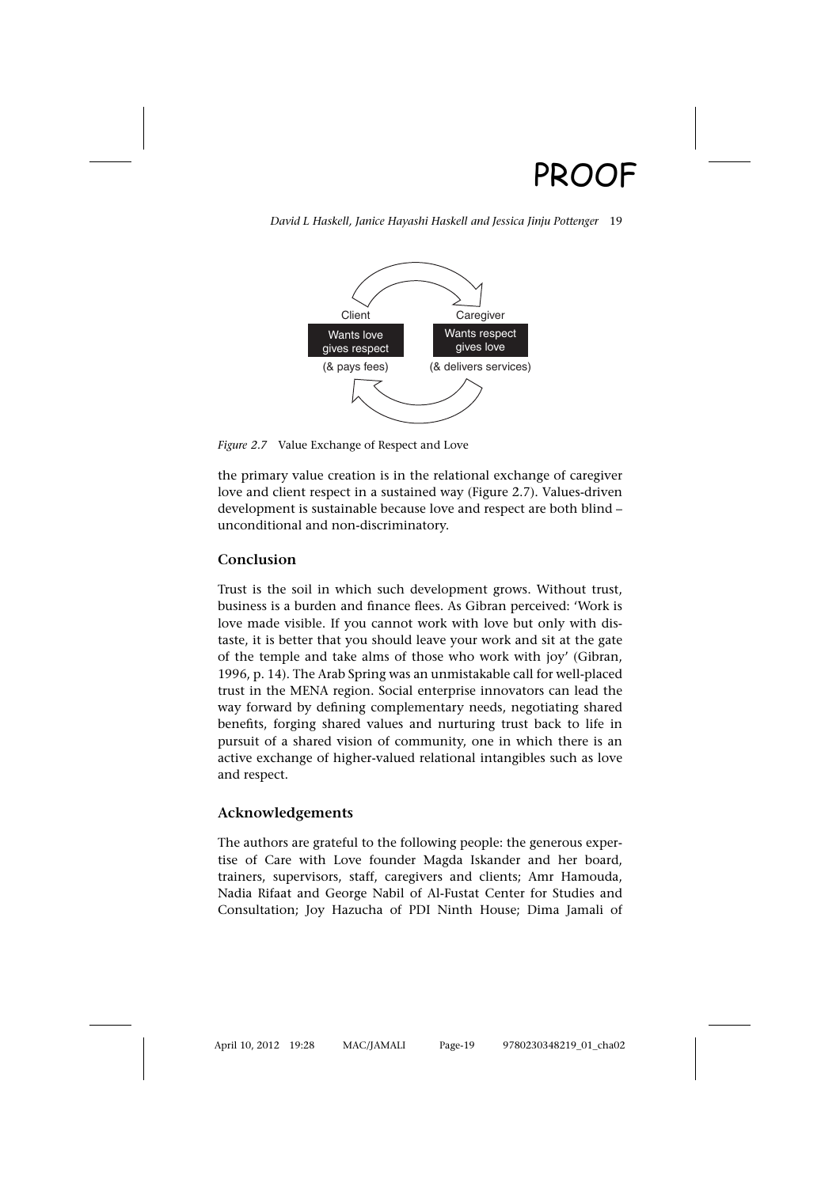

*David L Haskell, Janice Hayashi Haskell and Jessica Jinju Pottenger* 19

*Figure 2.7* Value Exchange of Respect and Love

the primary value creation is in the relational exchange of caregiver love and client respect in a sustained way (Figure 2.7). Values-driven development is sustainable because love and respect are both blind – unconditional and non-discriminatory.

### **Conclusion**

Trust is the soil in which such development grows. Without trust, business is a burden and finance flees. As Gibran perceived: 'Work is love made visible. If you cannot work with love but only with distaste, it is better that you should leave your work and sit at the gate of the temple and take alms of those who work with joy' (Gibran, 1996, p. 14). The Arab Spring was an unmistakable call for well-placed trust in the MENA region. Social enterprise innovators can lead the way forward by defining complementary needs, negotiating shared benefits, forging shared values and nurturing trust back to life in pursuit of a shared vision of community, one in which there is an active exchange of higher-valued relational intangibles such as love and respect.

### **Acknowledgements**

The authors are grateful to the following people: the generous expertise of Care with Love founder Magda Iskander and her board, trainers, supervisors, staff, caregivers and clients; Amr Hamouda, Nadia Rifaat and George Nabil of Al-Fustat Center for Studies and Consultation; Joy Hazucha of PDI Ninth House; Dima Jamali of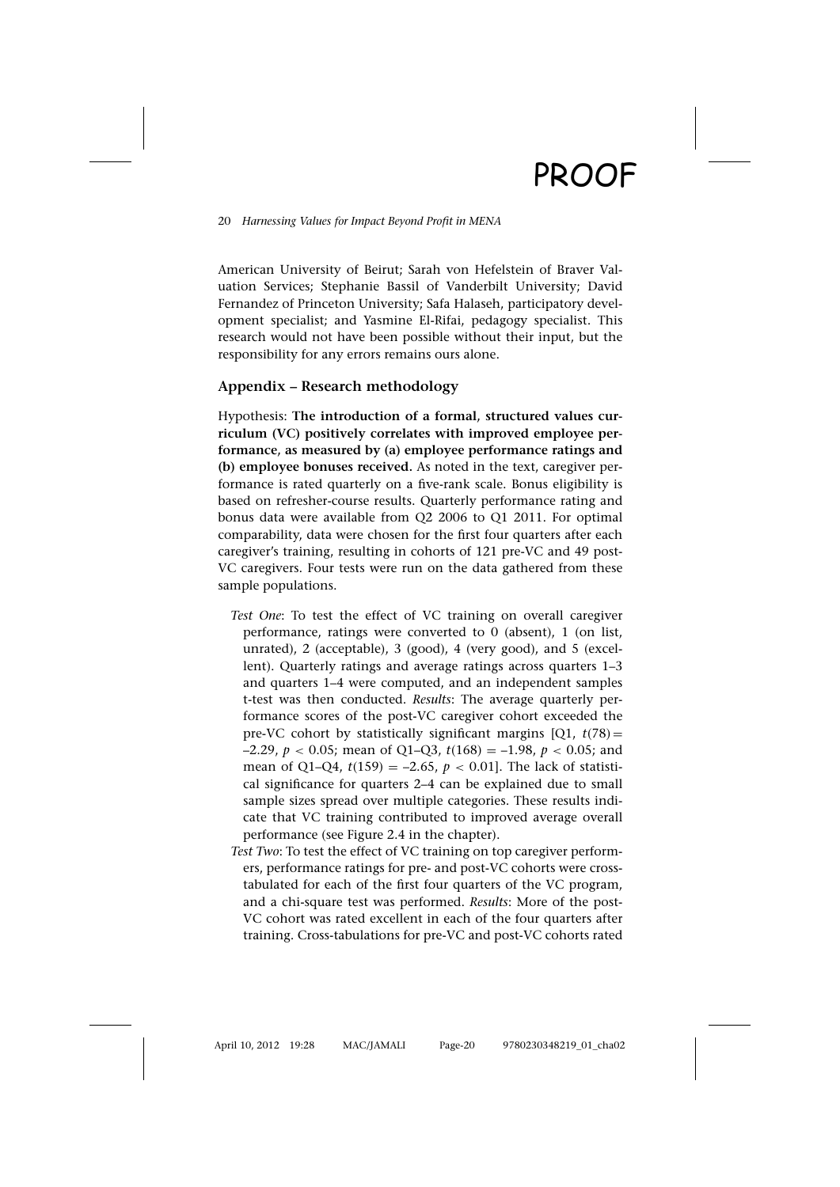#### 20 *Harnessing Values for Impact Beyond Profit in MENA*

American University of Beirut; Sarah von Hefelstein of Braver Valuation Services; Stephanie Bassil of Vanderbilt University; David Fernandez of Princeton University; Safa Halaseh, participatory development specialist; and Yasmine El-Rifai, pedagogy specialist. This research would not have been possible without their input, but the responsibility for any errors remains ours alone.

#### **Appendix – Research methodology**

Hypothesis: **The introduction of a formal, structured values curriculum (VC) positively correlates with improved employee performance, as measured by (a) employee performance ratings and (b) employee bonuses received.** As noted in the text, caregiver performance is rated quarterly on a five-rank scale. Bonus eligibility is based on refresher-course results. Quarterly performance rating and bonus data were available from Q2 2006 to Q1 2011. For optimal comparability, data were chosen for the first four quarters after each caregiver's training, resulting in cohorts of 121 pre-VC and 49 post-VC caregivers. Four tests were run on the data gathered from these sample populations.

- *Test One*: To test the effect of VC training on overall caregiver performance, ratings were converted to 0 (absent), 1 (on list, unrated), 2 (acceptable), 3 (good), 4 (very good), and 5 (excellent). Quarterly ratings and average ratings across quarters 1–3 and quarters 1–4 were computed, and an independent samples t-test was then conducted. *Results*: The average quarterly performance scores of the post-VC caregiver cohort exceeded the pre-VC cohort by statistically significant margins  $[Q1, t(78)] =$  $-2.29, p < 0.05$ ; mean of Q1–Q3,  $t(168) = -1.98, p < 0.05$ ; and mean of Q1–Q4,  $t(159) = -2.65$ ,  $p < 0.01$ . The lack of statistical significance for quarters 2–4 can be explained due to small sample sizes spread over multiple categories. These results indicate that VC training contributed to improved average overall performance (see Figure 2.4 in the chapter).
- *Test Two*: To test the effect of VC training on top caregiver performers, performance ratings for pre- and post-VC cohorts were crosstabulated for each of the first four quarters of the VC program, and a chi-square test was performed. *Results*: More of the post-VC cohort was rated excellent in each of the four quarters after training. Cross-tabulations for pre-VC and post-VC cohorts rated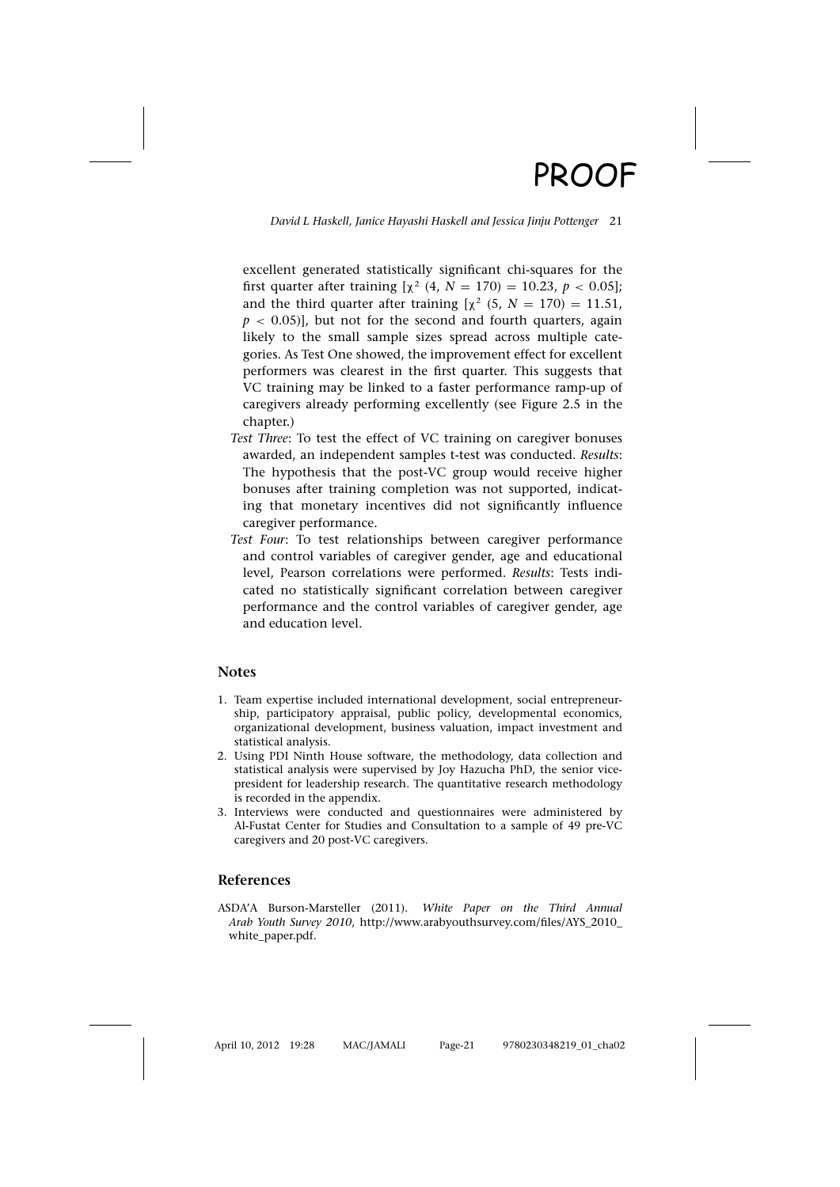*David L Haskell, Janice Hayashi Haskell and Jessica Jinju Pottenger* 21

excellent generated statistically significant chi-squares for the first quarter after training  $[\chi^2 (4, N = 170) = 10.23, p < 0.05]$ ; and the third quarter after training  $[\chi^2 (5, N = 170) = 11.51]$ ,  $p < 0.05$ ), but not for the second and fourth quarters, again likely to the small sample sizes spread across multiple categories. As Test One showed, the improvement effect for excellent performers was clearest in the first quarter. This suggests that VC training may be linked to a faster performance ramp-up of caregivers already performing excellently (see Figure 2.5 in the chapter.)

- *Test Three*: To test the effect of VC training on caregiver bonuses awarded, an independent samples t-test was conducted. *Results*: The hypothesis that the post-VC group would receive higher bonuses after training completion was not supported, indicating that monetary incentives did not significantly influence caregiver performance.
- *Test Four*: To test relationships between caregiver performance and control variables of caregiver gender, age and educational level, Pearson correlations were performed. *Results*: Tests indicated no statistically significant correlation between caregiver performance and the control variables of caregiver gender, age and education level.

## **Notes**

- 1. Team expertise included international development, social entrepreneurship, participatory appraisal, public policy, developmental economics, organizational development, business valuation, impact investment and statistical analysis.
- 2. Using PDI Ninth House software, the methodology, data collection and statistical analysis were supervised by Joy Hazucha PhD, the senior vicepresident for leadership research. The quantitative research methodology is recorded in the appendix.
- 3. Interviews were conducted and questionnaires were administered by Al-Fustat Center for Studies and Consultation to a sample of 49 pre-VC caregivers and 20 post-VC caregivers.

### **References**

ASDA'A Burson-Marsteller (2011). *White Paper on the Third Annual Arab Youth Survey 2010*, http://www.arabyouthsurvey.com/files/AYS\_2010\_ white\_paper.pdf.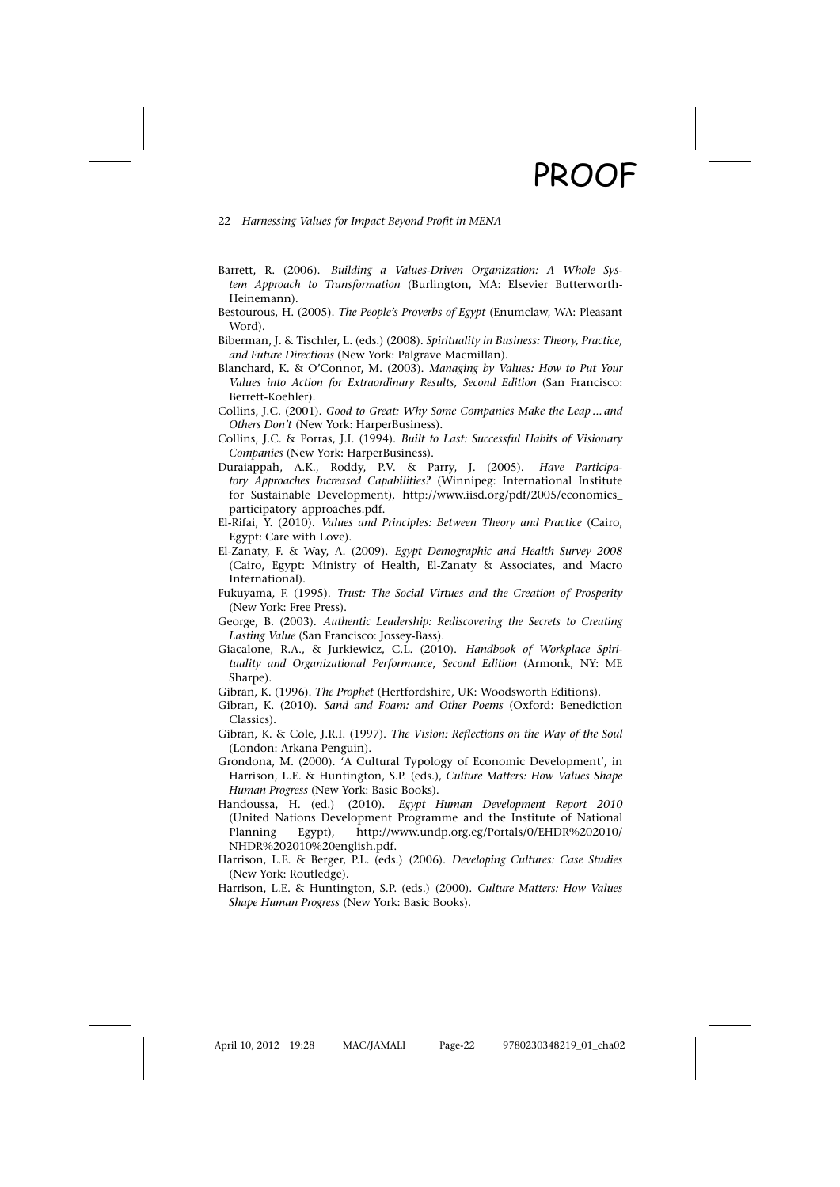22 *Harnessing Values for Impact Beyond Profit in MENA*

- Barrett, R. (2006). *Building a Values-Driven Organization: A Whole System Approach to Transformation* (Burlington, MA: Elsevier Butterworth-Heinemann).
- Bestourous, H. (2005). *The People's Proverbs of Egypt* (Enumclaw, WA: Pleasant Word).
- Biberman, J. & Tischler, L. (eds.) (2008). *Spirituality in Business: Theory, Practice, and Future Directions* (New York: Palgrave Macmillan).
- Blanchard, K. & O'Connor, M. (2003). *Managing by Values: How to Put Your Values into Action for Extraordinary Results, Second Edition* (San Francisco: Berrett-Koehler).
- Collins, J.C. (2001). *Good to Great: Why Some Companies Make the Leap ... and Others Don't* (New York: HarperBusiness).
- Collins, J.C. & Porras, J.I. (1994). *Built to Last: Successful Habits of Visionary Companies* (New York: HarperBusiness).
- Duraiappah, A.K., Roddy, P.V. & Parry, J. (2005). *Have Participatory Approaches Increased Capabilities?* (Winnipeg: International Institute for Sustainable Development), http://www.iisd.org/pdf/2005/economics\_ participatory\_approaches.pdf.
- El-Rifai, Y. (2010). *Values and Principles: Between Theory and Practice* (Cairo, Egypt: Care with Love).
- El-Zanaty, F. & Way, A. (2009). *Egypt Demographic and Health Survey 2008* (Cairo, Egypt: Ministry of Health, El-Zanaty & Associates, and Macro International).
- Fukuyama, F. (1995). *Trust: The Social Virtues and the Creation of Prosperity* (New York: Free Press).
- George, B. (2003). *Authentic Leadership: Rediscovering the Secrets to Creating Lasting Value* (San Francisco: Jossey-Bass).
- Giacalone, R.A., & Jurkiewicz, C.L. (2010). *Handbook of Workplace Spirituality and Organizational Performance*, *Second Edition* (Armonk, NY: ME Sharpe).
- Gibran, K. (1996). *The Prophet* (Hertfordshire, UK: Woodsworth Editions).
- Gibran, K. (2010). *Sand and Foam: and Other Poems* (Oxford: Benediction Classics).
- Gibran, K. & Cole, J.R.I. (1997). *The Vision: Reflections on the Way of the Soul* (London: Arkana Penguin).
- Grondona, M. (2000). 'A Cultural Typology of Economic Development', in Harrison, L.E. & Huntington, S.P. (eds.), *Culture Matters: How Values Shape Human Progress* (New York: Basic Books).
- Handoussa, H. (ed.) (2010). *Egypt Human Development Report 2010* (United Nations Development Programme and the Institute of National Planning Egypt), http://www.undp.org.eg/Portals/0/EHDR%202010/ NHDR%202010%20english.pdf.
- Harrison, L.E. & Berger, P.L. (eds.) (2006). *Developing Cultures: Case Studies* (New York: Routledge).
- Harrison, L.E. & Huntington, S.P. (eds.) (2000). *Culture Matters: How Values Shape Human Progress* (New York: Basic Books).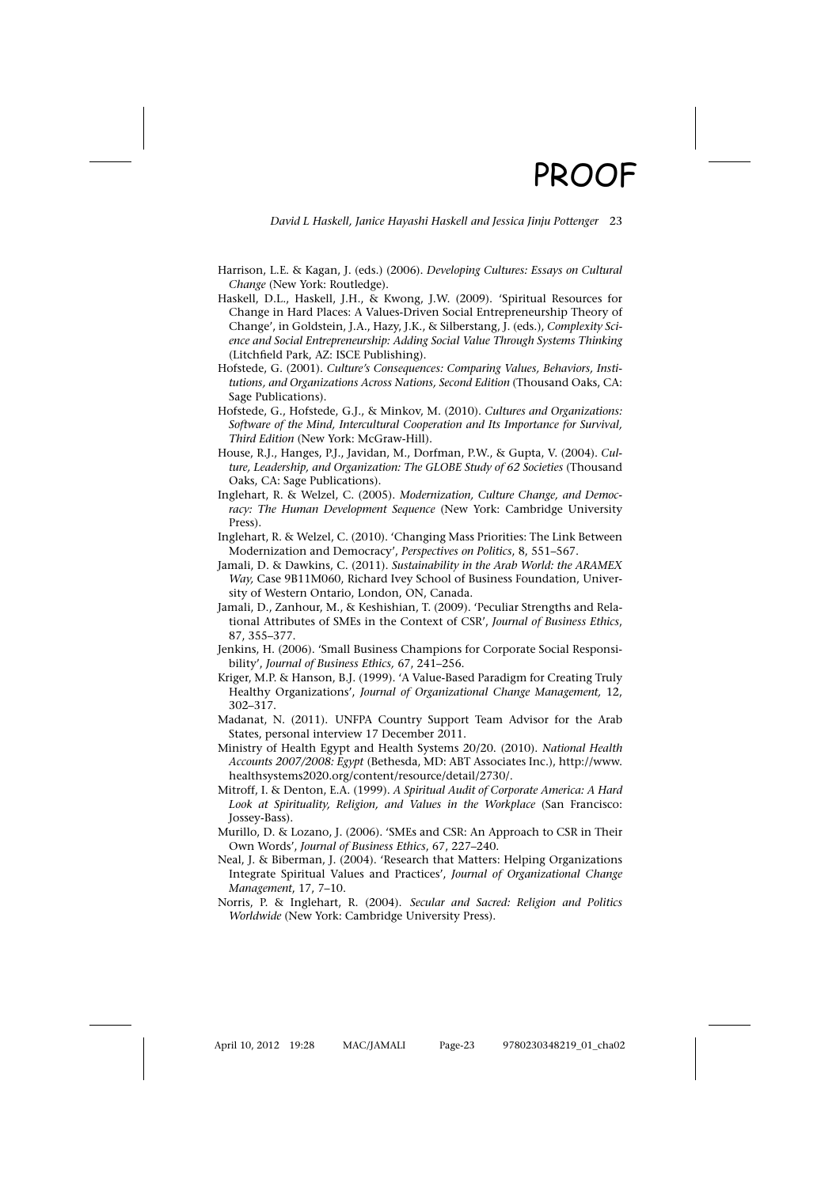*David L Haskell, Janice Hayashi Haskell and Jessica Jinju Pottenger* 23

- Harrison, L.E. & Kagan, J. (eds.) (2006). *Developing Cultures: Essays on Cultural Change* (New York: Routledge).
- Haskell, D.L., Haskell, J.H., & Kwong, J.W. (2009). 'Spiritual Resources for Change in Hard Places: A Values-Driven Social Entrepreneurship Theory of Change', in Goldstein, J.A., Hazy, J.K., & Silberstang, J. (eds.), *Complexity Science and Social Entrepreneurship: Adding Social Value Through Systems Thinking* (Litchfield Park, AZ: ISCE Publishing).
- Hofstede, G. (2001). *Culture's Consequences: Comparing Values, Behaviors, Institutions, and Organizations Across Nations, Second Edition* (Thousand Oaks, CA: Sage Publications).
- Hofstede, G., Hofstede, G.J., & Minkov, M. (2010). *Cultures and Organizations: Software of the Mind, Intercultural Cooperation and Its Importance for Survival, Third Edition* (New York: McGraw-Hill).
- House, R.J., Hanges, P.J., Javidan, M., Dorfman, P.W., & Gupta, V. (2004). *Culture, Leadership, and Organization: The GLOBE Study of 62 Societies* (Thousand Oaks, CA: Sage Publications).
- Inglehart, R. & Welzel, C. (2005). *Modernization, Culture Change, and Democracy: The Human Development Sequence* (New York: Cambridge University Press).
- Inglehart, R. & Welzel, C. (2010). 'Changing Mass Priorities: The Link Between Modernization and Democracy', *Perspectives on Politics*, 8, 551–567.
- Jamali, D. & Dawkins, C. (2011). *Sustainability in the Arab World: the ARAMEX Way,* Case 9B11M060, Richard Ivey School of Business Foundation, University of Western Ontario, London, ON, Canada.
- Jamali, D., Zanhour, M., & Keshishian, T. (2009). 'Peculiar Strengths and Relational Attributes of SMEs in the Context of CSR', *Journal of Business Ethics*, 87, 355–377.
- Jenkins, H. (2006). 'Small Business Champions for Corporate Social Responsibility', *Journal of Business Ethics,* 67, 241–256.
- Kriger, M.P. & Hanson, B.J. (1999). 'A Value-Based Paradigm for Creating Truly Healthy Organizations', *Journal of Organizational Change Management,* 12, 302–317.
- Madanat, N. (2011). UNFPA Country Support Team Advisor for the Arab States, personal interview 17 December 2011.
- Ministry of Health Egypt and Health Systems 20/20. (2010). *National Health Accounts 2007/2008: Egypt* (Bethesda, MD: ABT Associates Inc.), http://www. healthsystems2020.org/content/resource/detail/2730/.
- Mitroff, I. & Denton, E.A. (1999). *A Spiritual Audit of Corporate America: A Hard Look at Spirituality, Religion, and Values in the Workplace* (San Francisco: Jossey-Bass).
- Murillo, D. & Lozano, J. (2006). 'SMEs and CSR: An Approach to CSR in Their Own Words', *Journal of Business Ethics*, 67, 227–240.
- Neal, J. & Biberman, J. (2004). 'Research that Matters: Helping Organizations Integrate Spiritual Values and Practices', *Journal of Organizational Change Management*, 17, 7–10.
- Norris, P. & Inglehart, R. (2004). *Secular and Sacred: Religion and Politics Worldwide* (New York: Cambridge University Press).

April 10, 2012 19:28 MAC/JAMALI Page-23 9780230348219 01 cha02